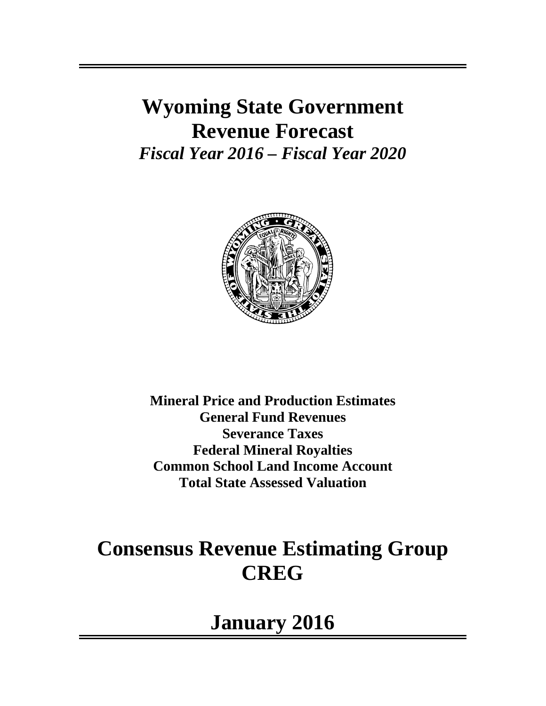## **Wyoming State Government Revenue Forecast**  *Fiscal Year 2016 – Fiscal Year 2020*



**Mineral Price and Production Estimates General Fund Revenues Severance Taxes Federal Mineral Royalties Common School Land Income Account Total State Assessed Valuation** 

# **Consensus Revenue Estimating Group CREG**

**January 2016**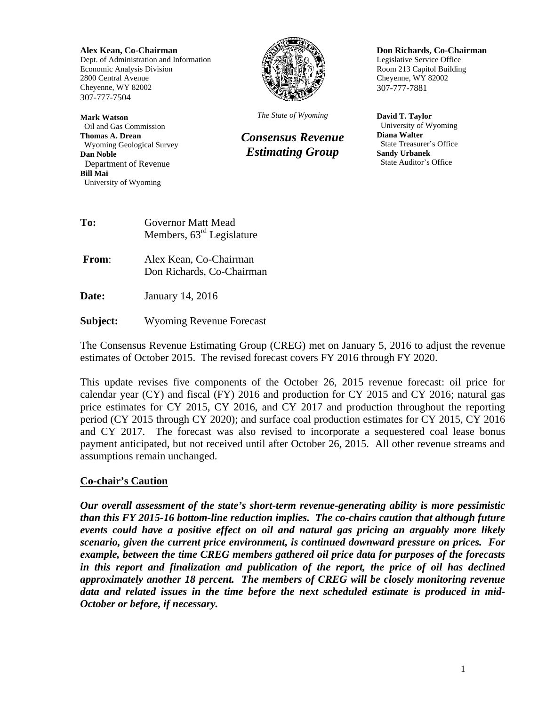**Alex Kean, Co-Chairman**  Dept. of Administration and Information Economic Analysis Division 2800 Central Avenue Cheyenne, WY 82002 307-777-7504

**Mark Watson**  Oil and Gas Commission **Thomas A. Drean**  Wyoming Geological Survey **Dan Noble**  Department of Revenue **Bill Mai**  University of Wyoming



*The State of Wyoming*

*Consensus Revenue Estimating Group* 

**Don Richards, Co-Chairman**  Legislative Service Office Room 213 Capitol Building Cheyenne, WY 82002 307-777-7881

**David T. Taylor**  University of Wyoming **Diana Walter**  State Treasurer's Office **Sandy Urbanek**  State Auditor's Office

| <b>Governor Matt Mead</b>   |
|-----------------------------|
| Members, $63rd$ Legislature |
|                             |

 **From**: Alex Kean, Co-Chairman Don Richards, Co-Chairman

**Date: January 14, 2016** 

**Subject:** Wyoming Revenue Forecast

The Consensus Revenue Estimating Group (CREG) met on January 5, 2016 to adjust the revenue estimates of October 2015. The revised forecast covers FY 2016 through FY 2020.

This update revises five components of the October 26, 2015 revenue forecast: oil price for calendar year (CY) and fiscal (FY) 2016 and production for CY 2015 and CY 2016; natural gas price estimates for CY 2015, CY 2016, and CY 2017 and production throughout the reporting period (CY 2015 through CY 2020); and surface coal production estimates for CY 2015, CY 2016 and CY 2017. The forecast was also revised to incorporate a sequestered coal lease bonus payment anticipated, but not received until after October 26, 2015. All other revenue streams and assumptions remain unchanged.

## **Co-chair's Caution**

*Our overall assessment of the state's short-term revenue-generating ability is more pessimistic than this FY 2015-16 bottom-line reduction implies. The co-chairs caution that although future events could have a positive effect on oil and natural gas pricing an arguably more likely scenario, given the current price environment, is continued downward pressure on prices. For example, between the time CREG members gathered oil price data for purposes of the forecasts in this report and finalization and publication of the report, the price of oil has declined approximately another 18 percent. The members of CREG will be closely monitoring revenue data and related issues in the time before the next scheduled estimate is produced in mid-October or before, if necessary.*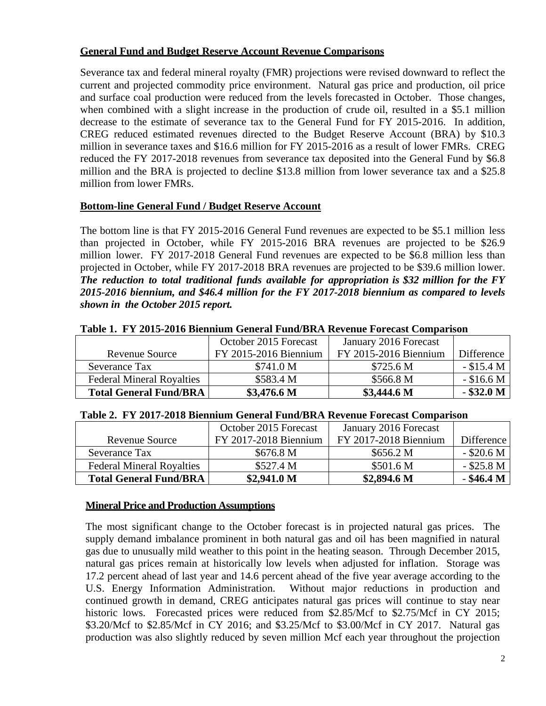## **General Fund and Budget Reserve Account Revenue Comparisons**

Severance tax and federal mineral royalty (FMR) projections were revised downward to reflect the current and projected commodity price environment. Natural gas price and production, oil price and surface coal production were reduced from the levels forecasted in October. Those changes, when combined with a slight increase in the production of crude oil, resulted in a \$5.1 million decrease to the estimate of severance tax to the General Fund for FY 2015-2016. In addition, CREG reduced estimated revenues directed to the Budget Reserve Account (BRA) by \$10.3 million in severance taxes and \$16.6 million for FY 2015-2016 as a result of lower FMRs. CREG reduced the FY 2017-2018 revenues from severance tax deposited into the General Fund by \$6.8 million and the BRA is projected to decline \$13.8 million from lower severance tax and a \$25.8 million from lower FMRs.

## **Bottom-line General Fund / Budget Reserve Account**

The bottom line is that FY 2015-2016 General Fund revenues are expected to be \$5.1 million less than projected in October, while FY 2015-2016 BRA revenues are projected to be \$26.9 million lower. FY 2017-2018 General Fund revenues are expected to be \$6.8 million less than projected in October, while FY 2017-2018 BRA revenues are projected to be \$39.6 million lower. *The reduction to total traditional funds available for appropriation is \$32 million for the FY 2015-2016 biennium, and \$46.4 million for the FY 2017-2018 biennium as compared to levels shown in the October 2015 report.* 

|                                  | October 2015 Forecast | January 2016 Forecast |              |
|----------------------------------|-----------------------|-----------------------|--------------|
| Revenue Source                   | FY 2015-2016 Biennium | FY 2015-2016 Biennium | Difference   |
| Severance Tax                    | \$741.0 M             | \$725.6 M             | $- $15.4 M$  |
| <b>Federal Mineral Royalties</b> | \$583.4 M             | \$566.8 M             | $-$ \$16.6 M |
| <b>Total General Fund/BRA</b>    | \$3,476.6 M           | \$3,444.6 M           | $-$ \$32.0 M |

#### **Table 1. FY 2015-2016 Biennium General Fund/BRA Revenue Forecast Comparison**

### **Table 2. FY 2017-2018 Biennium General Fund/BRA Revenue Forecast Comparison**

|                                  | October 2015 Forecast | January 2016 Forecast |              |
|----------------------------------|-----------------------|-----------------------|--------------|
| Revenue Source                   | FY 2017-2018 Biennium | FY 2017-2018 Biennium | Difference   |
| Severance Tax                    | \$676.8 M             | \$656.2 M             | $-$ \$20.6 M |
| <b>Federal Mineral Royalties</b> | \$527.4 M             | \$501.6 M             | $-$ \$25.8 M |
| <b>Total General Fund/BRA</b>    | \$2,941.0 M           | \$2,894.6 M           | $-$ \$46.4 M |

### **Mineral Price and Production Assumptions**

The most significant change to the October forecast is in projected natural gas prices. The supply demand imbalance prominent in both natural gas and oil has been magnified in natural gas due to unusually mild weather to this point in the heating season. Through December 2015, natural gas prices remain at historically low levels when adjusted for inflation. Storage was 17.2 percent ahead of last year and 14.6 percent ahead of the five year average according to the U.S. Energy Information Administration. Without major reductions in production and continued growth in demand, CREG anticipates natural gas prices will continue to stay near historic lows. Forecasted prices were reduced from \$2.85/Mcf to \$2.75/Mcf in CY 2015; \$3.20/Mcf to \$2.85/Mcf in CY 2016; and \$3.25/Mcf to \$3.00/Mcf in CY 2017. Natural gas production was also slightly reduced by seven million Mcf each year throughout the projection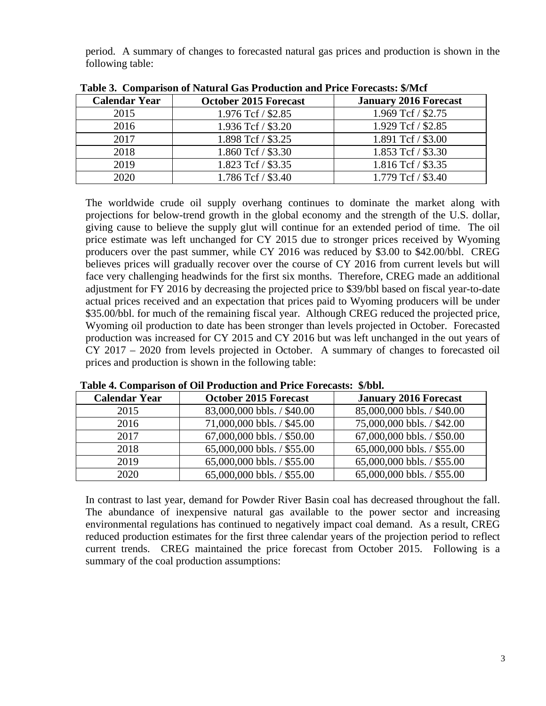period. A summary of changes to forecasted natural gas prices and production is shown in the following table:

|                      | Tubic of Comparison of Familiar Gus Frounchon and Frice Forecasts. While |                              |
|----------------------|--------------------------------------------------------------------------|------------------------------|
| <b>Calendar Year</b> | <b>October 2015 Forecast</b>                                             | <b>January 2016 Forecast</b> |
| 2015                 | 1.976 Tcf / \$2.85                                                       | 1.969 Tcf / \$2.75           |
| 2016                 | 1.936 Tcf / \$3.20                                                       | 1.929 Tcf / \$2.85           |
| 2017                 | 1.898 Tcf / \$3.25                                                       | 1.891 Tcf / \$3.00           |
| 2018                 | 1.860 Tcf / \$3.30                                                       | 1.853 Tcf / \$3.30           |
| 2019                 | 1.823 Tcf / \$3.35                                                       | 1.816 Tcf / \$3.35           |
| 2020                 | 1.786 Tcf / \$3.40                                                       | 1.779 Tcf / \$3.40           |

**Table 3. Comparison of Natural Gas Production and Price Forecasts: \$/Mcf**

The worldwide crude oil supply overhang continues to dominate the market along with projections for below-trend growth in the global economy and the strength of the U.S. dollar, giving cause to believe the supply glut will continue for an extended period of time. The oil price estimate was left unchanged for CY 2015 due to stronger prices received by Wyoming producers over the past summer, while CY 2016 was reduced by \$3.00 to \$42.00/bbl. CREG believes prices will gradually recover over the course of CY 2016 from current levels but will face very challenging headwinds for the first six months. Therefore, CREG made an additional adjustment for FY 2016 by decreasing the projected price to \$39/bbl based on fiscal year-to-date actual prices received and an expectation that prices paid to Wyoming producers will be under \$35.00/bbl. for much of the remaining fiscal year. Although CREG reduced the projected price, Wyoming oil production to date has been stronger than levels projected in October. Forecasted production was increased for CY 2015 and CY 2016 but was left unchanged in the out years of CY 2017 – 2020 from levels projected in October. A summary of changes to forecasted oil prices and production is shown in the following table:

| <b>Calendar Year</b> | <b>October 2015 Forecast</b> | <b>January 2016 Forecast</b> |
|----------------------|------------------------------|------------------------------|
| 2015                 | 83,000,000 bbls. / \$40.00   | 85,000,000 bbls. / \$40.00   |
| 2016                 | 71,000,000 bbls. / \$45.00   | 75,000,000 bbls. / \$42.00   |
| 2017                 | 67,000,000 bbls. / \$50.00   | 67,000,000 bbls. / \$50.00   |
| 2018                 | 65,000,000 bbls. / \$55.00   | 65,000,000 bbls. / \$55.00   |
| 2019                 | 65,000,000 bbls. / \$55.00   | 65,000,000 bbls. / \$55.00   |
| 2020                 | 65,000,000 bbls. / \$55.00   | 65,000,000 bbls. / \$55.00   |

**Table 4. Comparison of Oil Production and Price Forecasts: \$/bbl.**

In contrast to last year, demand for Powder River Basin coal has decreased throughout the fall. The abundance of inexpensive natural gas available to the power sector and increasing environmental regulations has continued to negatively impact coal demand. As a result, CREG reduced production estimates for the first three calendar years of the projection period to reflect current trends. CREG maintained the price forecast from October 2015. Following is a summary of the coal production assumptions: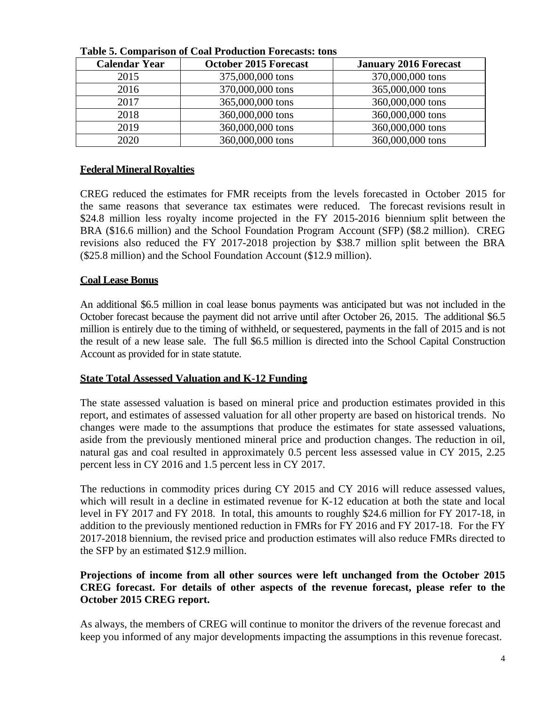| <b>Calendar Year</b> | <b>October 2015 Forecast</b> | <b>January 2016 Forecast</b> |
|----------------------|------------------------------|------------------------------|
| 2015                 | 375,000,000 tons             | 370,000,000 tons             |
| 2016                 | 370,000,000 tons             | 365,000,000 tons             |
| 2017                 | 365,000,000 tons             | 360,000,000 tons             |
| 2018                 | 360,000,000 tons             | 360,000,000 tons             |
| 2019                 | 360,000,000 tons             | 360,000,000 tons             |
| 2020                 | 360,000,000 tons             | 360,000,000 tons             |

**Table 5. Comparison of Coal Production Forecasts: tons**

## **Federal Mineral Royalties**

CREG reduced the estimates for FMR receipts from the levels forecasted in October 2015 for the same reasons that severance tax estimates were reduced. The forecast revisions result in \$24.8 million less royalty income projected in the FY 2015-2016 biennium split between the BRA (\$16.6 million) and the School Foundation Program Account (SFP) (\$8.2 million). CREG revisions also reduced the FY 2017-2018 projection by \$38.7 million split between the BRA (\$25.8 million) and the School Foundation Account (\$12.9 million).

## **Coal Lease Bonus**

An additional \$6.5 million in coal lease bonus payments was anticipated but was not included in the October forecast because the payment did not arrive until after October 26, 2015. The additional \$6.5 million is entirely due to the timing of withheld, or sequestered, payments in the fall of 2015 and is not the result of a new lease sale. The full \$6.5 million is directed into the School Capital Construction Account as provided for in state statute.

### **State Total Assessed Valuation and K-12 Funding**

The state assessed valuation is based on mineral price and production estimates provided in this report, and estimates of assessed valuation for all other property are based on historical trends. No changes were made to the assumptions that produce the estimates for state assessed valuations, aside from the previously mentioned mineral price and production changes. The reduction in oil, natural gas and coal resulted in approximately 0.5 percent less assessed value in CY 2015, 2.25 percent less in CY 2016 and 1.5 percent less in CY 2017.

The reductions in commodity prices during CY 2015 and CY 2016 will reduce assessed values, which will result in a decline in estimated revenue for K-12 education at both the state and local level in FY 2017 and FY 2018. In total, this amounts to roughly \$24.6 million for FY 2017-18, in addition to the previously mentioned reduction in FMRs for FY 2016 and FY 2017-18. For the FY 2017-2018 biennium, the revised price and production estimates will also reduce FMRs directed to the SFP by an estimated \$12.9 million.

## **Projections of income from all other sources were left unchanged from the October 2015 CREG forecast. For details of other aspects of the revenue forecast, please refer to the October 2015 CREG report.**

As always, the members of CREG will continue to monitor the drivers of the revenue forecast and keep you informed of any major developments impacting the assumptions in this revenue forecast.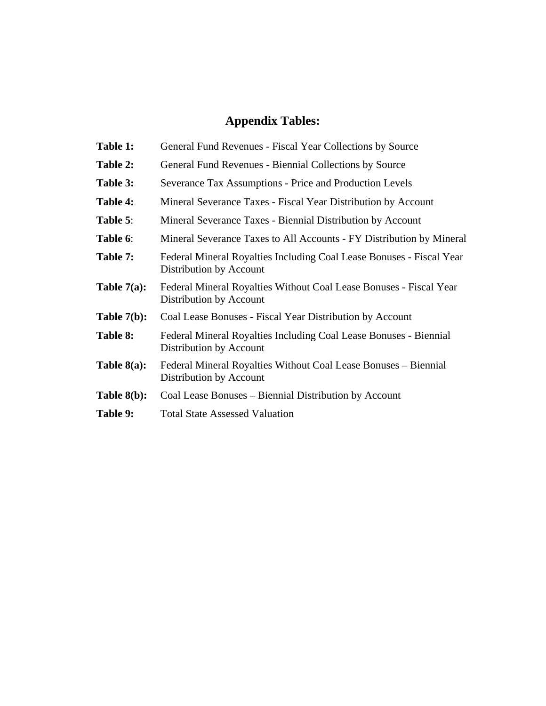## **Appendix Tables:**

| Table 1:       | General Fund Revenues - Fiscal Year Collections by Source                                       |
|----------------|-------------------------------------------------------------------------------------------------|
| Table 2:       | General Fund Revenues - Biennial Collections by Source                                          |
| Table 3:       | Severance Tax Assumptions - Price and Production Levels                                         |
| Table 4:       | Mineral Severance Taxes - Fiscal Year Distribution by Account                                   |
| Table 5:       | Mineral Severance Taxes - Biennial Distribution by Account                                      |
| Table 6:       | Mineral Severance Taxes to All Accounts - FY Distribution by Mineral                            |
| Table 7:       | Federal Mineral Royalties Including Coal Lease Bonuses - Fiscal Year<br>Distribution by Account |
| Table $7(a)$ : | Federal Mineral Royalties Without Coal Lease Bonuses - Fiscal Year<br>Distribution by Account   |
| Table $7(b)$ : | Coal Lease Bonuses - Fiscal Year Distribution by Account                                        |
| Table 8:       | Federal Mineral Royalties Including Coal Lease Bonuses - Biennial<br>Distribution by Account    |
| Table $8(a)$ : | Federal Mineral Royalties Without Coal Lease Bonuses – Biennial<br>Distribution by Account      |
| Table 8(b):    | Coal Lease Bonuses – Biennial Distribution by Account                                           |
| Table 9:       | <b>Total State Assessed Valuation</b>                                                           |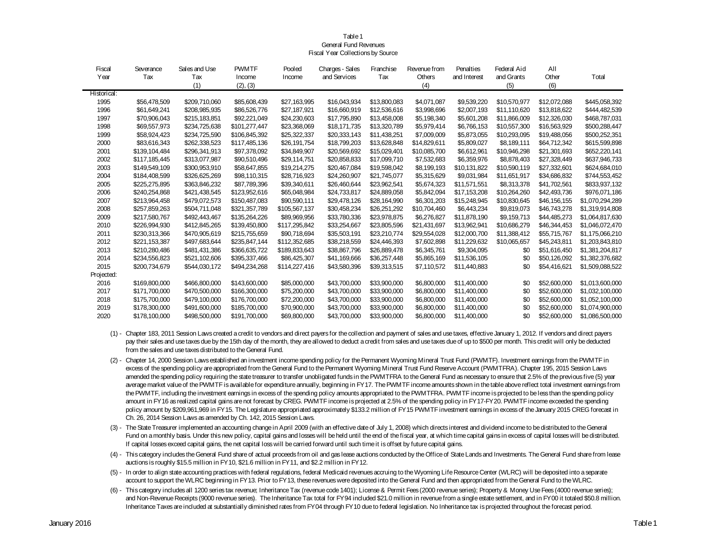#### Table 1 General Fund Revenues Fiscal Year Collections by Source

| Fiscal      | Severance     | Sales and Use | <b>PWMTF</b>  | Pooled        | Charges - Sales | Franchise    | Revenue from  | Penalties    | Federal Aid  | All          |                 |
|-------------|---------------|---------------|---------------|---------------|-----------------|--------------|---------------|--------------|--------------|--------------|-----------------|
| Year        | Tax           | Tax           | Income        | Income        | and Services    | Tax          | <b>Others</b> | and Interest | and Grants   | Other        | Total           |
|             |               | (1)           | (2), (3)      |               |                 |              | (4)           |              | (5)          | (6)          |                 |
| Historical: |               |               |               |               |                 |              |               |              |              |              |                 |
| 1995        | \$56,478,509  | \$209.710.060 | \$85,608,439  | \$27,163,995  | \$16,043,934    | \$13,800,083 | \$4,071,087   | \$9,539,220  | \$10,570,977 | \$12,072,088 | \$445,058,392   |
| 1996        | \$61,649,241  | \$208,985,935 | \$86,526,776  | \$27,187,921  | \$16,660,919    | \$12,536,616 | \$3,998,696   | \$2,007,193  | \$11,110,620 | \$13,818,622 | \$444,482,539   |
| 1997        | \$70,906,043  | \$215,183,851 | \$92,221,049  | \$24,230,603  | \$17,795,890    | \$13,458,008 | \$5,198,340   | \$5,601,208  | \$11,866,009 | \$12,326,030 | \$468,787,031   |
| 1998        | \$69,557,973  | \$234,725,638 | \$101,277,447 | \$23,368,069  | \$18.171.735    | \$13,320,789 | \$5,979,414   | \$6,766,153  | \$10,557,300 | \$16,563,929 | \$500,288,447   |
| 1999        | \$58,924,423  | \$234,725,590 | \$106,845,392 | \$25,322,337  | \$20,333,143    | \$11,438,251 | \$7,009,009   | \$5,873,055  | \$10,293,095 | \$19,488,056 | \$500,252,351   |
| 2000        | \$83,616,343  | \$262,338,523 | \$117,485,136 | \$26,191,754  | \$18,799,203    | \$13,628,848 | \$14,829,611  | \$5,809,027  | \$8,189,111  | \$64,712,342 | \$615,599,898   |
| 2001        | \$139,104,484 | \$296,341,913 | \$97.378.092  | \$34,849,907  | \$20,569,692    | \$15,029,401 | \$10,085,700  | \$6,612,961  | \$10.946.298 | \$21,301,693 | \$652,220,141   |
| 2002        | \$117,185,445 | \$313,077,987 | \$90,510,496  | \$29,114,751  | \$20,858,833    | \$17,099,710 | \$7,532,683   | \$6,359,976  | \$8,878,403  | \$27,328,449 | \$637,946,733   |
| 2003        | \$149.549.109 | \$300.953.910 | \$58,647,855  | \$19,214,275  | \$20.467.084    | \$19,598,042 | \$8,199,193   | \$10.131.822 | \$10,590,119 | \$27,332,601 | \$624,684,010   |
| 2004        | \$184,408,599 | \$326,625,269 | \$98,110,315  | \$28,716,923  | \$24,260,907    | \$21,745,077 | \$5,315,629   | \$9,031,984  | \$11,651,917 | \$34,686,832 | \$744,553,452   |
| 2005        | \$225,275,895 | \$363,846,232 | \$87,789,396  | \$39,340,611  | \$26,460,644    | \$23,962,541 | \$5,674,323   | \$11,571,551 | \$8,313,378  | \$41,702,561 | \$833,937,132   |
| 2006        | \$240,254,868 | \$421,438,545 | \$123,952,616 | \$65,048,984  | \$24,733,817    | \$24,889,058 | \$5,842,094   | \$17,153,208 | \$10,264,260 | \$42,493,736 | \$976,071,186   |
| 2007        | \$213,964,458 | \$479,072,573 | \$150,487,083 | \$90,590,111  | \$29,478,126    | \$28,164,990 | \$6,301,203   | \$15,248,945 | \$10,830,645 | \$46,156,155 | \$1,070,294,289 |
| 2008        | \$257,859,263 | \$504,711,048 | \$321,357,789 | \$105,567,137 | \$30,458,234    | \$26,251,292 | \$10,704,460  | \$6,443,234  | \$9,819,073  | \$46,743,278 | \$1,319,914,808 |
| 2009        | \$217,580,767 | \$492,443,467 | \$135,264,226 | \$89,969,956  | \$33,780,336    | \$23,978,875 | \$6,276,827   | \$11,878,190 | \$9,159,713  | \$44,485,273 | \$1,064,817,630 |
| 2010        | \$226,994,930 | \$412,845,265 | \$139,450,800 | \$117,295,842 | \$33,254,667    | \$23,805,596 | \$21,431,697  | \$13,962,941 | \$10,686,279 | \$46,344,453 | \$1,046,072,470 |
| 2011        | \$230,313,366 | \$470,905,619 | \$215,755,659 | \$90,718,694  | \$35,503,191    | \$23,210,774 | \$29,554,028  | \$12,000,700 | \$11,388,412 | \$55,715,767 | \$1,175,066,210 |
| 2012        | \$221,153,387 | \$497,683,644 | \$235,847,144 | \$112,352,685 | \$38,218,559    | \$24,446,393 | \$7,602,898   | \$11,229,632 | \$10,065,657 | \$45,243,811 | \$1,203,843,810 |
| 2013        | \$210,280,486 | \$481,431,386 | \$366,635,722 | \$189,833,643 | \$38,867,796    | \$26,889,478 | \$6,345,761   | \$9,304,095  | \$0          | \$51,616,450 | \$1,381,204,817 |
| 2014        | \$234,556,823 | \$521,102,606 | \$395,337,466 | \$86,425,307  | \$41,169,666    | \$36,257,448 | \$5,865,169   | \$11,536,105 | \$0          | \$50,126,092 | \$1,382,376,682 |
| 2015        | \$200,734,679 | \$544,030,172 | \$494,234,268 | \$114,227,416 | \$43,580,396    | \$39,313,515 | \$7,110,572   | \$11,440,883 | \$0          | \$54,416,621 | \$1,509,088,522 |
| Projected:  |               |               |               |               |                 |              |               |              |              |              |                 |
| 2016        | \$169,800,000 | \$466,800,000 | \$143,600,000 | \$85,000,000  | \$43,700,000    | \$33,900,000 | \$6,800,000   | \$11,400,000 | \$0          | \$52,600,000 | \$1,013,600,000 |
| 2017        | \$171,700,000 | \$470,500,000 | \$166,300,000 | \$75,200,000  | \$43,700,000    | \$33,900,000 | \$6,800,000   | \$11,400,000 | \$0          | \$52,600,000 | \$1,032,100,000 |
| 2018        | \$175,700,000 | \$479,100,000 | \$176,700,000 | \$72,200,000  | \$43,700,000    | \$33,900,000 | \$6,800,000   | \$11,400,000 | \$0          | \$52,600,000 | \$1,052,100,000 |
| 2019        | \$178,300,000 | \$491,600,000 | \$185,700,000 | \$70,900,000  | \$43,700,000    | \$33,900,000 | \$6,800,000   | \$11,400,000 | \$0          | \$52,600,000 | \$1,074,900,000 |
| 2020        | \$178,100,000 | \$498,500,000 | \$191,700,000 | \$69,800,000  | \$43,700,000    | \$33,900,000 | \$6,800,000   | \$11,400,000 | \$0          | \$52,600,000 | \$1,086,500,000 |
|             |               |               |               |               |                 |              |               |              |              |              |                 |

- (1) Chapter 183, 2011 Session Laws created a credit to vendors and direct payers for the collection and payment of sales and use taxes, effective January 1, 2012. If vendors and direct payers pay their sales and use taxes due by the 15th day of the month, they are allowed to deduct a credit from sales and use taxes due of up to \$500 per month. This credit will only be deducted from the sales and use taxes distributed to the General Fund.
- (2) Chapter 14, 2000 Session Laws established an investment income spending policy for the Permanent Wyoming Mineral Trust Fund (PWMTF). Investment earnings from the PWMTF in excess of the spending policy are appropriated from the General Fund to the Permanent Wyoming Mineral Trust Fund Reserve Account (PWMTFRA). Chapter 195, 2015 Session Laws amended the spending policy requiring the state treasurer to transfer unobligated funds in the PWMTFRA to the General Fund as necessary to ensure that 2.5% of the previous five (5) year average market value of the PWMTF is available for expenditure annually, beginning in FY17. The PWMTF income amounts shown in the table above reflect total investment earnings from the PWMTF, including the investment earnings in excess of the spending policy amounts appropriated to the PWMTFRA. PWMTF income is projected to be less than the spending policy amount in FY16 as realized capital gains are not forecast by CREG. PWMTF income is projected at 2.5% of the spending policy in FY17-FY20. PWMTF income exceeded the spending policy amount by \$209,961,969 in FY15. The Legislature appropriated approximately \$133.2 million of FY15 PWMTF investment earnings in excess of the January 2015 CREG forecast in Ch. 26, 2014 Session Laws as amended by Ch. 142, 2015 Session Laws.
- (3) The State Treasurer implemented an accounting change in April 2009 (with an effective date of July 1, 2008) which directs interest and dividend income to be distributed to the General Fund on a monthly basis. Under this new policy, capital gains and losses will be held until the end of the fiscal year, at which time capital gains in excess of capital losses will be distributed. If capital losses exceed capital gains, the net capital loss will be carried forward until such time it is offset by future capital gains.
- (4) This category includes the General Fund share of actual proceeds from oil and gas lease auctions conducted by the Office of State Lands and Investments. The General Fund share from lease auctions is roughly \$15.5 million in FY10, \$21.6 million in FY11, and \$2.2 million in FY12.
- (5) In order to align state accounting practices with federal regulations, federal Medicaid revenues accruing to the Wyoming Life Resource Center (WLRC) will be deposited into a separate account to support the WLRC beginning in FY13. Prior to FY13, these revenues were deposited into the General Fund and then appropriated from the General Fund to the WLRC.
- (6) This category includes all 1200 series tax revenue; Inheritance Tax (revenue code 1401); License & Permit Fees (2000 revenue series); Property & Money Use Fees (4000 revenue series); and Non-Revenue Receipts (9000 revenue series). The Inheritance Tax total for FY94 included \$21.0 million in revenue from a single estate settlement, and in FY00 it totaled \$50.8 million. Inheritance Taxes are included at substantially diminished rates from FY04 through FY10 due to federal legislation. No Inheritance tax is projected throughout the forecast period.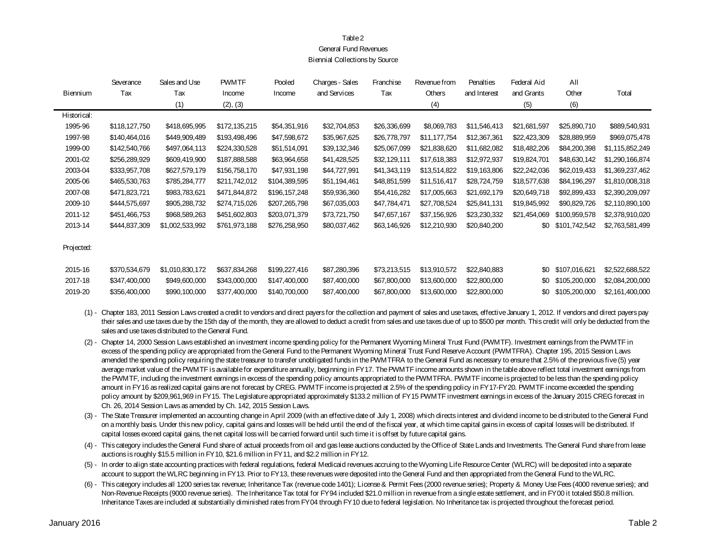#### Table 2 General Fund Revenues Biennial Collections by Source

|             | Severance     | Sales and Use   | <b>PWMTF</b>  | Pooled        | Charges - Sales | Franchise    | Revenue from  | Penalties    | Federal Aid  | All           |                 |
|-------------|---------------|-----------------|---------------|---------------|-----------------|--------------|---------------|--------------|--------------|---------------|-----------------|
| Biennium    | Tax           | Tax             | Income        | Income        | and Services    | Tax          | <b>Others</b> | and Interest | and Grants   | Other         | Total           |
|             |               | (1)             | (2), (3)      |               |                 |              | (4)           |              | (5)          | (6)           |                 |
| Historical: |               |                 |               |               |                 |              |               |              |              |               |                 |
| 1995-96     | \$118,127,750 | \$418,695,995   | \$172,135,215 | \$54,351,916  | \$32,704,853    | \$26,336,699 | \$8,069,783   | \$11,546,413 | \$21,681,597 | \$25,890,710  | \$889,540,931   |
| 1997-98     | \$140,464,016 | \$449,909,489   | \$193,498,496 | \$47,598,672  | \$35,967,625    | \$26,778,797 | \$11,177,754  | \$12,367,361 | \$22,423,309 | \$28,889,959  | \$969,075,478   |
| 1999-00     | \$142,540,766 | \$497,064,113   | \$224,330,528 | \$51,514,091  | \$39,132,346    | \$25,067,099 | \$21,838,620  | \$11,682,082 | \$18,482,206 | \$84,200,398  | \$1,115,852,249 |
| 2001-02     | \$256,289,929 | \$609,419,900   | \$187,888,588 | \$63,964,658  | \$41,428,525    | \$32,129,111 | \$17,618,383  | \$12,972,937 | \$19,824,701 | \$48,630,142  | \$1,290,166,874 |
| 2003-04     | \$333,957,708 | \$627,579,179   | \$156,758,170 | \$47,931,198  | \$44,727,991    | \$41,343,119 | \$13,514,822  | \$19,163,806 | \$22,242,036 | \$62,019,433  | \$1,369,237,462 |
| 2005-06     | \$465,530,763 | \$785,284,777   | \$211,742,012 | \$104,389,595 | \$51,194,461    | \$48,851,599 | \$11,516,417  | \$28,724,759 | \$18,577,638 | \$84,196,297  | \$1,810,008,318 |
| 2007-08     | \$471,823,721 | \$983,783,621   | \$471,844,872 | \$196,157,248 | \$59,936,360    | \$54,416,282 | \$17,005,663  | \$21,692,179 | \$20,649,718 | \$92,899,433  | \$2,390,209,097 |
| 2009-10     | \$444,575,697 | \$905,288,732   | \$274,715,026 | \$207,265,798 | \$67,035,003    | \$47,784,471 | \$27,708,524  | \$25,841,131 | \$19,845,992 | \$90,829,726  | \$2,110,890,100 |
| 2011-12     | \$451,466,753 | \$968,589,263   | \$451,602,803 | \$203,071,379 | \$73,721,750    | \$47,657,167 | \$37,156,926  | \$23,230,332 | \$21,454,069 | \$100,959,578 | \$2,378,910,020 |
| 2013-14     | \$444,837,309 | \$1,002,533,992 | \$761,973,188 | \$276,258,950 | \$80,037,462    | \$63,146,926 | \$12,210,930  | \$20,840,200 | \$0          | \$101,742,542 | \$2,763,581,499 |
| Projected:  |               |                 |               |               |                 |              |               |              |              |               |                 |
| 2015-16     | \$370,534,679 | \$1,010,830,172 | \$637,834,268 | \$199,227,416 | \$87,280,396    | \$73,213,515 | \$13,910,572  | \$22,840,883 | \$0          | \$107,016,621 | \$2,522,688,522 |
| 2017-18     | \$347,400,000 | \$949,600,000   | \$343,000,000 | \$147,400,000 | \$87,400,000    | \$67,800,000 | \$13,600,000  | \$22,800,000 | \$0          | \$105,200,000 | \$2,084,200,000 |
| 2019-20     | \$356,400,000 | \$990,100,000   | \$377,400,000 | \$140,700,000 | \$87,400,000    | \$67,800,000 | \$13,600,000  | \$22,800,000 | \$0          | \$105,200,000 | \$2,161,400,000 |

- (1) Chapter 183, 2011 Session Laws created a credit to vendors and direct payers for the collection and payment of sales and use taxes, effective January 1, 2012. If vendors and direct payers pay their sales and use taxes due by the 15th day of the month, they are allowed to deduct a credit from sales and use taxes due of up to \$500 per month. This credit will only be deducted from the sales and use taxes distributed to the General Fund.
- (2) Chapter 14, 2000 Session Laws established an investment income spending policy for the Permanent Wyoming Mineral Trust Fund (PWMTF). Investment earnings from the PWMTF in excess of the spending policy are appropriated from the General Fund to the Permanent Wyoming Mineral Trust Fund Reserve Account (PWMTFRA). Chapter 195, 2015 Session Laws amended the spending policy requiring the state treasurer to transfer unobligated funds in the PWMTFRA to the General Fund as necessary to ensure that 2.5% of the previous five (5) year average market value of the PWMTF is available for expenditure annually, beginning in FY17. The PWMTF income amounts shown in the table above reflect total investment earnings from the PWMTF, including the investment earnings in excess of the spending policy amounts appropriated to the PWMTFRA. PWMTF income is projected to be less than the spending policy amount in FY16 as realized capital gains are not forecast by CREG. PWMTF income is projected at 2.5% of the spending policy in FY17-FY20. PWMTF income exceeded the spending policy amount by \$209,961,969 in FY15. The Legislature appropriated approximately \$133.2 million of FY15 PWMTF investment earnings in excess of the January 2015 CREG forecast in Ch. 26, 2014 Session Laws as amended by Ch. 142, 2015 Session Laws.
- (3) The State Treasurer implemented an accounting change in April 2009 (with an effective date of July 1, 2008) which directs interest and dividend income to be distributed to the General Fund on a monthly basis. Under this new policy, capital gains and losses will be held until the end of the fiscal year, at which time capital gains in excess of capital losses will be distributed. If capital losses exceed capital gains, the net capital loss will be carried forward until such time it is offset by future capital gains.
- (4) This category includes the General Fund share of actual proceeds from oil and gas lease auctions conducted by the Office of State Lands and Investments. The General Fund share from lease auctions is roughly \$15.5 million in FY10, \$21.6 million in FY11, and \$2.2 million in FY12.
- (5) In order to align state accounting practices with federal regulations, federal Medicaid revenues accruing to the Wyoming Life Resource Center (WLRC) will be deposited into a separate account to support the WLRC beginning in FY13. Prior to FY13, these revenues were deposited into the General Fund and then appropriated from the General Fund to the WLRC.
- (6) This category includes all 1200 series tax revenue; Inheritance Tax (revenue code 1401); License & Permit Fees (2000 revenue series); Property & Money Use Fees (4000 revenue series); and Non-Revenue Receipts (9000 revenue series). The Inheritance Tax total for FY94 included \$21.0 million in revenue from a single estate settlement, and in FY00 it totaled \$50.8 million. Inheritance Taxes are included at substantially diminished rates from FY04 through FY10 due to federal legislation. No Inheritance tax is projected throughout the forecast period.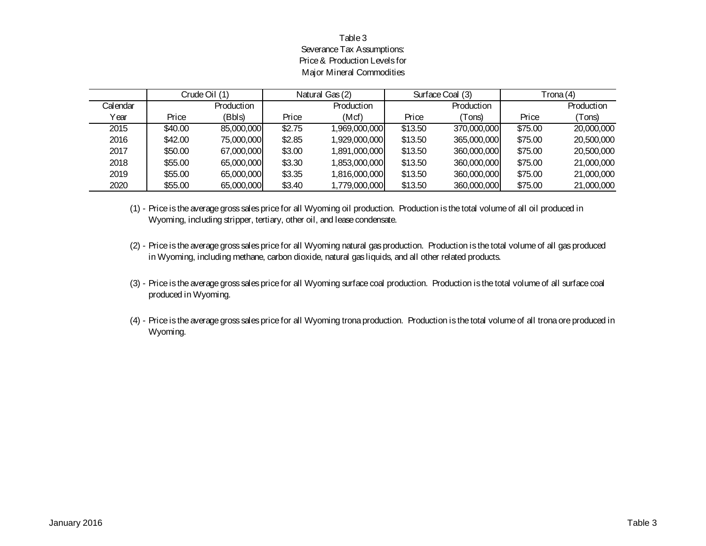#### Table 3 Severance Tax Assumptions: Price & Production Levels for Major Mineral Commodities

|          |         | Crude Oil (1) |        | Natural Gas (2) |         | Surface Coal (3) | Trona (4) |            |  |
|----------|---------|---------------|--------|-----------------|---------|------------------|-----------|------------|--|
| Calendar |         | Production    |        | Production      |         | Production       |           | Production |  |
| Year     | Price   | (Bbls)        | Price  | (Mcf)           | Price   | Tons)            | Price     | (Tons)     |  |
| 2015     | \$40.00 | 85,000,000    | \$2.75 | 1,969,000,000   | \$13.50 | 370,000,000      | \$75.00   | 20,000,000 |  |
| 2016     | \$42.00 | 75,000,000    | \$2.85 | 1,929,000,000   | \$13.50 | 365,000,000      | \$75.00   | 20,500,000 |  |
| 2017     | \$50.00 | 67,000,000    | \$3.00 | 1,891,000,000   | \$13.50 | 360,000,000      | \$75.00   | 20,500,000 |  |
| 2018     | \$55.00 | 65,000,000    | \$3.30 | 1,853,000,000   | \$13.50 | 360,000,000      | \$75.00   | 21,000,000 |  |
| 2019     | \$55.00 | 65,000,000    | \$3.35 | 1,816,000,000   | \$13.50 | 360,000,000      | \$75.00   | 21,000,000 |  |
| 2020     | \$55.00 | 65,000,000    | \$3.40 | 1,779,000,000   | \$13.50 | 360,000,000      | \$75.00   | 21,000,000 |  |

(1) - Price is the average gross sales price for all Wyoming oil production. Production is the total volume of all oil produced in Wyoming, including stripper, tertiary, other oil, and lease condensate.

- (2) Price is the average gross sales price for all Wyoming natural gas production. Production is the total volume of all gas produced in Wyoming, including methane, carbon dioxide, natural gas liquids, and all other related products.
- (3) Price is the average gross sales price for all Wyoming surface coal production. Production is the total volume of all surface coal produced in Wyoming.
- (4) Price is the average gross sales price for all Wyoming trona production. Production is the total volume of all trona ore produced in Wyoming.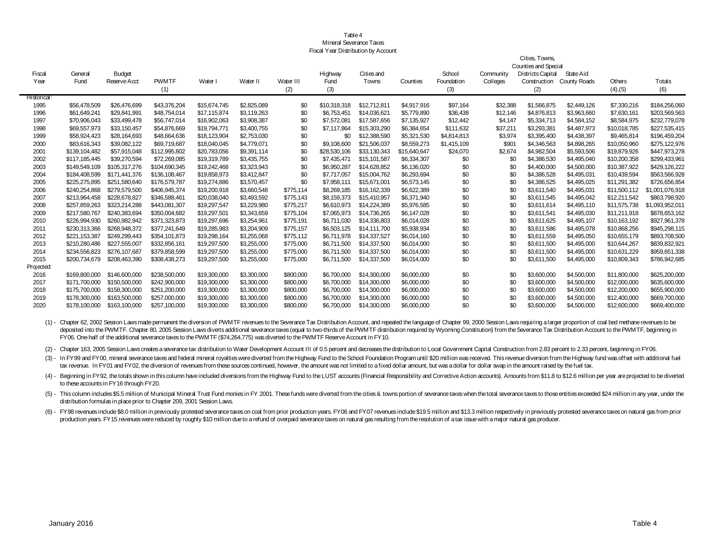#### Table 4 Mineral Severance Taxes Fiscal Year Distribution by Account

|             |                 |               |               |              |             |           |                 |              |              |             |           | Cities, Towns,                            |                                  |               |                 |
|-------------|-----------------|---------------|---------------|--------------|-------------|-----------|-----------------|--------------|--------------|-------------|-----------|-------------------------------------------|----------------------------------|---------------|-----------------|
| Fiscal      |                 | <b>Budget</b> |               |              |             |           |                 | Cities and   |              | School      | Community | Counties and Special<br>Districts Capital |                                  |               |                 |
| Year        | General<br>Fund | Reserve Acct  | <b>PWMTF</b>  | Water I      | Water II    | Water III | Highway<br>Fund | Towns        | Counties     | Foundation  | Colleges  | Construction                              | State Aid<br><b>County Roads</b> | Others        | Totals          |
|             |                 |               | (1)           |              |             | (2)       | (3)             |              |              | (3)         |           | (2)                                       |                                  | $(4)$ , $(5)$ | (6)             |
| Historical: |                 |               |               |              |             |           |                 |              |              |             |           |                                           |                                  |               |                 |
| 1995        | \$56.478.509    | \$26,476,699  | \$43,376,204  | \$15,674,745 | \$2,825,089 | \$0       | \$10.318.318    | \$12,712,811 | \$4,917,916  | \$97,164    | \$32,388  | \$1,566,875                               | \$2,449,126                      | \$7,330,216   | \$184,256,060   |
| 1996        | \$61,649,241    | \$29.841.991  | \$48,754,014  | \$17.115.874 | \$3.119.263 | \$0       | \$6.753.451     | \$14.036.621 | \$5,779,890  | \$36,438    | \$12,146  | \$4,876,813                               | \$3,963,660                      | \$7,630,161   | \$203,569,563   |
| 1997        | \$70,906,043    | \$33,499,478  | \$56,747,014  | \$16,902,063 | \$3,908,387 | \$0       | \$7,572,081     | \$17,587,656 | \$7,135,927  | \$12,442    | \$4,147   | \$5,334,713                               | \$4,584,152                      | \$8,584,975   | \$232,779,078   |
| 1998        | \$69,557,973    | \$33,150,457  | \$54,876,669  | \$19,794,771 | \$3,400,755 | \$0       | \$7,117,864     | \$15,303,290 | \$6,384,654  | \$111,632   | \$37,211  | \$3,293,381                               | \$4,487,973                      | \$10,018,785  | \$227,535,415   |
| 1999        | \$58,924,423    | \$28,164,693  | \$48,664,636  | \$18,123,904 | \$2,753,030 | \$0       | \$0             | \$12,388,590 | \$5,321,530  | \$4,814,813 | \$3,974   | \$3,395,400                               | \$4,438,397                      | \$9,465,814   | \$196,459,204   |
| 2000        | \$83,616,343    | \$39,082,122  | \$69,719,687  | \$18,040,045 | \$4,779,071 | \$0       | \$9,108,600     | \$21,506,037 | \$8,559,273  | \$1,415,109 | \$901     | \$4,346,563                               | \$4,898,265                      | \$10,050,960  | \$275,122,976   |
| 2001        | \$139,104,482   | \$57,915,048  | \$112,995,802 | \$20,783,056 | \$9,391,114 | \$0       | \$28,530,106    | \$33,130,343 | \$15,640,647 | \$24,070    | \$2,674   | \$4,982,504                               | \$5,593,506                      | \$19,879,926  | \$447,973,278   |
| 2002        | \$117,185,445   | \$39,270,594  | \$72,269,085  | \$19,319,789 | \$3,435,755 | \$0       | \$7,435,471     | \$15,101,587 | \$6,334,307  | \$0         | \$0       | \$4,386,530                               | \$4,495,040                      | \$10,200,358  | \$299,433,961   |
| 2003        | \$149,549,109   | \$105,317,276 | \$104,690,345 | \$19,242,468 | \$3,323,943 | \$0       | \$6,950,287     | \$14,628,852 | \$6,136,020  | \$0         | \$0       | \$4,400,000                               | \$4,500,000                      | \$10,387,922  | \$429,126,222   |
| 2004        | \$184,408,599   | \$171,441,376 | \$136,108,467 | \$19,858,973 | \$3,412,847 | \$0       | \$7,717,057     | \$15,004,762 | \$6,293,694  | \$0         | \$0       | \$4,386,528                               | \$4,495,031                      | \$10,439,594  | \$563,566,928   |
| 2005        | \$225,275,895   | \$251,580,640 | \$176,579,787 | \$19,274,886 | \$3,570,457 | \$0       | \$7,958,111     | \$15,671,001 | \$6,573,145  | \$0         | \$0       | \$4,386,525                               | \$4,495,025                      | \$11,291,382  | \$726,656,854   |
| 2006        | \$240,254,868   | \$279,579,500 | \$406,945,374 | \$19,200,918 | \$3,660,548 | \$775,114 | \$8,269,185     | \$16,162,339 | \$6,622,389  | \$0         | \$0       | \$3,611,540                               | \$4,495,031                      | \$11,500,112  | \$1,001,076,918 |
| 2007        | \$213,964,458   | \$228,678,827 | \$346,588,461 | \$20,038,040 | \$3,493,592 | \$775,143 | \$8,159,373     | \$15,410,957 | \$6,371,940  | \$0         | \$0       | \$3,611,545                               | \$4,495,042                      | \$12,211,542  | \$863,798,920   |
| 2008        | \$257,859,263   | \$323,214,288 | \$443,081,307 | \$19,297,547 | \$3,229,980 | \$775,217 | \$6,610,973     | \$14,224,389 | \$5,976,585  | \$0         | \$0       | \$3,611,614                               | \$4,495,110                      | \$11,575,738  | \$1,093,952,011 |
| 2009        | \$217,580,767   | \$240,383,694 | \$350,004,682 | \$19,297,501 | \$3,343,659 | \$775,104 | \$7,065,973     | \$14,736,265 | \$6,147,028  | \$0         | \$0       | \$3,611,541                               | \$4,495,030                      | \$11,211,918  | \$878,653,162   |
| 2010        | \$226,994,930   | \$260,982,942 | \$371,323,873 | \$19,297,696 | \$3,254,961 | \$775,191 | \$6,711,030     | \$14,336,803 | \$6,014,028  | \$0         | \$0       | \$3,611,625                               | \$4,495,107                      | \$10,163,192  | \$927,961,378   |
| 2011        | \$230,313,366   | \$268,948,372 | \$377,241,649 | \$19,285,983 | \$3,204,909 | \$775,157 | \$6,503,125     | \$14,111,700 | \$5,938,934  | \$0         | \$0       | \$3,611,586                               | \$4,495,078                      | \$10,868,256  | \$945,298,115   |
| 2012        | \$221,153,387   | \$249.299.443 | \$354.101.873 | \$19,298,164 | \$3.255.068 | \$775,112 | \$6,711,978     | \$14.337.527 | \$6.014.160  | \$0         | \$0       | \$3,611,559                               | \$4,495,050                      | \$10,655,179  | \$893,708,500   |
| 2013        | \$210,280,486   | \$227.555.007 | \$332,856,161 | \$19,297,500 | \$3,255,000 | \$775,000 | \$6,711,500     | \$14,337,500 | \$6,014,000  | \$0         | \$0       | \$3,611,500                               | \$4,495,000                      | \$10,644,267  | \$839,832,921   |
| 2014        | \$234,556,823   | \$276.107.687 | \$379,858,599 | \$19,297,500 | \$3,255,000 | \$775,000 | \$6,711,500     | \$14.337.500 | \$6,014,000  | \$0         | \$0       | \$3,611,500                               | \$4,495,000                      | \$10,631,229  | \$959,651,338   |
| 2015        | \$200,734,679   | \$208,463,390 | \$308,438,273 | \$19,297,500 | \$3,255,000 | \$775,000 | \$6,711,500     | \$14,337,500 | \$6,014,000  | \$0         | \$0       | \$3,611,500                               | \$4,495,000                      | \$10,809,343  | \$786,942,685   |
| Projected:  |                 |               |               |              |             |           |                 |              |              |             |           |                                           |                                  |               |                 |
| 2016        | \$169,800,000   | \$146,600,000 | \$238,500,000 | \$19,300,000 | \$3,300,000 | \$800,000 | \$6,700,000     | \$14,300,000 | \$6,000,000  | \$0         | \$0       | \$3,600,000                               | \$4,500,000                      | \$11,800,000  | \$625,200,000   |
| 2017        | \$171,700,000   | \$150,500,000 | \$242,900,000 | \$19,300,000 | \$3,300,000 | \$800,000 | \$6,700,000     | \$14,300,000 | \$6,000,000  | \$0         | \$0       | \$3,600,000                               | \$4,500,000                      | \$12,000,000  | \$635,600,000   |
| 2018        | \$175,700,000   | \$158,300,000 | \$251,200,000 | \$19,300,000 | \$3,300,000 | \$800,000 | \$6,700,000     | \$14,300,000 | \$6,000,000  | \$0         | \$0       | \$3,600,000                               | \$4,500,000                      | \$12,200,000  | \$655,900,000   |
| 2019        | \$178,300,000   | \$163,500,000 | \$257,000,000 | \$19,300,000 | \$3,300,000 | \$800,000 | \$6,700,000     | \$14,300,000 | \$6,000,000  | \$0         | \$0       | \$3,600,000                               | \$4,500,000                      | \$12,400,000  | \$669,700,000   |
| 2020        | \$178,100,000   | \$163,100,000 | \$257,100,000 | \$19,300,000 | \$3,300,000 | \$800,000 | \$6,700,000     | \$14,300,000 | \$6,000,000  | \$0         | \$0       | \$3,600,000                               | \$4,500,000                      | \$12,600,000  | \$669,400,000   |
|             |                 |               |               |              |             |           |                 |              |              |             |           |                                           |                                  |               |                 |

(1) - Chapter 62, 2002 Session Laws made permanent the diversion of PWMTF revenues to the Severance Tax Distribution Account, and repealed the language of Chapter 99, 2000 Session Laws requiring a larger proportion of coal deposited into the PWMTF. Chapter 80, 2005 Session Laws diverts additional severance taxes (equal to two-thirds of the PWMTF distribution required by Wyoming Constitution) from the Severance Tax Distribution Account to the FY06. One-half of the additional severance taxes to the PWMTF (\$74,264,775) was diverted to the PWMTF Reserve Account in FY10.

(2) - Chapter 163, 2005 Session Laws creates a severance tax distribution to Water Development Account III of 0.5 percent and decreases the distribution to Local Government Capital Construction from 2.83 percent to 2.33 pe

(3) - In FY99 and FY00, mineral severance taxes and federal mineral royalties were diverted from the Highway Fund to the School Foundation Program until \$20 million was received. This revenue diversion from the Highway fun tax revenue. In FY01 and FY02, the diversion of revenues from these sources continued, however, the amount was not limited to a fixed dollar amount, but was a dollar for dollar swap in the amount raised by the fuel tax.

(4) - Beginning in FY92, the totals shown in this column have included diversions from the Highway Fund to the LUST accounts (Financial Responsibility and Corrective Action accounts). Amounts from \$11.8 to \$12.6 million pe to these accounts in FY16 through FY20.

(5) - This column includes \$5.5 million of Municipal Mineral Trust Fund monies in FY 2001. These funds were diverted from the cities & towns portion of severance taxes when the total severance taxes to those entities excee distribution formulas in place prior to Chapter 209, 2001 Session Laws.

(6) - FY98 revenues include \$8.0 million in previously protested severance taxes on coal from prior production years. FY06 and FY07 revenues include \$19.5 million and \$13.3 million respectively in previously protested seve production years. FY15 revenues were reduced by roughly \$10 million due to a refund of overpaid severance taxes on natural gas resulting from the resolution of a tax issue with a major natural gas producer.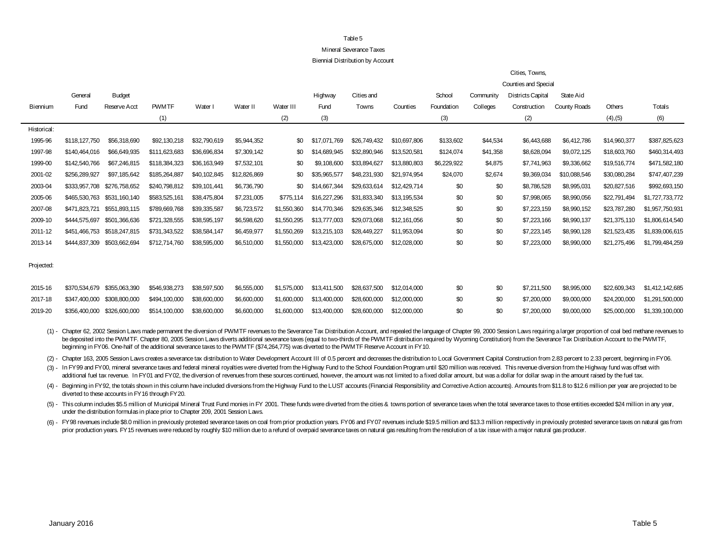#### Table 5

#### Mineral Severance Taxes

#### Biennial Distribution by Account

|             |               |               |               |              |              |             | Cities, Towns, |              |              |             |           |                      |              |              |                 |
|-------------|---------------|---------------|---------------|--------------|--------------|-------------|----------------|--------------|--------------|-------------|-----------|----------------------|--------------|--------------|-----------------|
|             |               |               |               |              |              |             |                |              |              |             |           | Counties and Special |              |              |                 |
|             | General       | <b>Budget</b> |               |              |              |             | Highway        | Cities and   |              | School      | Community | Districts Capital    | State Aid    |              |                 |
| Biennium    | Fund          | Reserve Acct  | <b>PWMTF</b>  | Water        | Water II     | Water III   | Fund           | Towns        | Counties     | Foundation  | Colleges  | Construction         | County Roads | Others       | Totals          |
|             |               |               | (1)           |              |              | (2)         | (3)            |              |              | (3)         |           | (2)                  |              | (4), (5)     | (6)             |
| Historical: |               |               |               |              |              |             |                |              |              |             |           |                      |              |              |                 |
| 1995-96     | \$118,127,750 | \$56,318,690  | \$92,130,218  | \$32,790,619 | \$5,944,352  | \$0         | \$17.071.769   | \$26,749,432 | \$10,697,806 | \$133,602   | \$44,534  | \$6,443,688          | \$6,412,786  | \$14,960,377 | \$387,825,623   |
| 1997-98     | \$140,464,016 | \$66,649,935  | \$111,623,683 | \$36,696,834 | \$7,309,142  | \$0         | \$14,689,945   | \$32,890,946 | \$13,520,581 | \$124.074   | \$41,358  | \$8,628,094          | \$9,072,125  | \$18,603,760 | \$460,314,493   |
| 1999-00     | \$142,540,766 | \$67,246,815  | \$118,384,323 | \$36,163,949 | \$7,532,101  | \$0         | \$9,108,600    | \$33,894,627 | \$13,880,803 | \$6,229,922 | \$4,875   | \$7,741,963          | \$9,336,662  | \$19,516,774 | \$471,582,180   |
| 2001-02     | \$256,289,927 | \$97,185,642  | \$185,264,887 | \$40,102,845 | \$12,826,869 | \$0         | \$35,965,577   | \$48,231,930 | \$21,974,954 | \$24,070    | \$2,674   | \$9,369,034          | \$10,088,546 | \$30,080,284 | \$747,407,239   |
| 2003-04     | \$333,957,708 | \$276,758,652 | \$240,798,812 | \$39,101,441 | \$6,736,790  | \$0         | \$14,667,344   | \$29,633,614 | \$12,429,714 | \$0         | \$0       | \$8,786,528          | \$8,995,031  | \$20,827,516 | \$992,693,150   |
| 2005-06     | \$465,530,763 | \$531,160,140 | \$583,525,161 | \$38,475,804 | \$7,231,005  | \$775,114   | \$16,227,296   | \$31,833,340 | \$13,195,534 | \$0         | \$0       | \$7,998,065          | \$8,990,056  | \$22,791,494 | \$1,727,733,772 |
| 2007-08     | \$471,823,721 | \$551,893,115 | \$789,669,768 | \$39,335,587 | \$6,723,572  | \$1,550,360 | \$14,770,346   | \$29,635,346 | \$12,348,525 | \$0         | \$0       | \$7,223,159          | \$8,990,152  | \$23,787,280 | \$1,957,750,931 |
| 2009-10     | \$444,575,697 | \$501,366,636 | \$721,328,555 | \$38,595,197 | \$6,598,620  | \$1,550,295 | \$13,777,003   | \$29,073,068 | \$12,161,056 | \$0         | \$0       | \$7,223,166          | \$8,990,137  | \$21,375,110 | \$1,806,614,540 |
| 2011-12     | \$451.466.753 | \$518,247,815 | \$731,343,522 | \$38,584,147 | \$6,459,977  | \$1,550,269 | \$13,215,103   | \$28,449,227 | \$11,953,094 | \$0         | \$0       | \$7,223,145          | \$8,990,128  | \$21,523,435 | \$1,839,006,615 |
| 2013-14     | \$444,837,309 | \$503,662,694 | \$712,714,760 | \$38,595,000 | \$6,510,000  | \$1,550,000 | \$13,423,000   | \$28,675,000 | \$12,028,000 | \$0         | \$0       | \$7,223,000          | \$8,990,000  | \$21,275,496 | \$1,799,484,259 |
|             |               |               |               |              |              |             |                |              |              |             |           |                      |              |              |                 |
| Projected:  |               |               |               |              |              |             |                |              |              |             |           |                      |              |              |                 |
|             |               |               |               |              |              |             |                |              |              |             |           |                      |              |              |                 |
| 2015-16     | \$370.534.679 | \$355,063,390 | \$546,938,273 | \$38,597,500 | \$6,555,000  | \$1,575,000 | \$13,411,500   | \$28,637,500 | \$12,014,000 | \$0         | \$0       | \$7,211,500          | \$8,995,000  | \$22,609,343 | \$1,412,142,685 |
| 2017-18     | \$347,400,000 | \$308,800,000 | \$494,100,000 | \$38,600,000 | \$6,600,000  | \$1,600,000 | \$13,400,000   | \$28,600,000 | \$12,000,000 | \$0         | \$0       | \$7,200,000          | \$9,000,000  | \$24,200,000 | \$1,291,500,000 |
| 2019-20     | \$356,400,000 | \$326,600,000 | \$514,100,000 | \$38,600,000 | \$6,600,000  | \$1,600,000 | \$13,400,000   | \$28,600,000 | \$12,000,000 | \$0         | \$0       | \$7,200,000          | \$9,000,000  | \$25,000,000 | \$1,339,100,000 |
|             |               |               |               |              |              |             |                |              |              |             |           |                      |              |              |                 |

(1) - Chapter 62, 2002 Session Laws made permanent the diversion of PWMTF revenues to the Severance Tax Distribution Account, and repealed the language of Chapter 99, 2000 Session Laws requiring a larger proportion of coal be deposited into the PWMTF. Chapter 80, 2005 Session Laws diverts additional severance taxes (equal to two-thirds of the PWMTF distribution required by Wyoming Constitution) from the Severance Tax Distribution Account to beginning in FY06. One-half of the additional severance taxes to the PWMTF (\$74,264,775) was diverted to the PWMTF Reserve Account in FY10.

(2) - Chapter 163, 2005 Session Laws creates a severance tax distribution to Water Development Account III of 0.5 percent and decreases the distribution to Local Government Capital Construction from 2.83 percent to 2.33 pe

(3) - In FY99 and FY00, mineral severance taxes and federal mineral royalties were diverted from the Highway Fund to the School Foundation Program until \$20 million was received. This revenue diversion from the Highway fun additional fuel tax revenue. In FY01 and FY02, the diversion of revenues from these sources continued, however, the amount was not limited to a fixed dollar amount, but was a dollar for dollar swap in the amount raised by

(4) - Beginning in FY92, the totals shown in this column have included diversions from the Highway Fund to the LUST accounts (Financial Responsibility and Corrective Action accounts). Amounts from \$11.8 to \$12.6 million pe diverted to these accounts in FY16 through FY20.

(5) - This column includes \$5.5 million of Municipal Mineral Trust Fund monies in FY 2001. These funds were diverted from the cities & towns portion of severance taxes when the total severance taxes to those entities excee under the distribution formulas in place prior to Chapter 209, 2001 Session Laws.

(6) - FY98 revenues include \$8.0 million in previously protested severance taxes on coal from prior production years. FY06 and FY07 revenues include \$19.5 million and \$13.3 million respectively in previously protested seve prior production years. FY15 revenues were reduced by roughly \$10 million due to a refund of overpaid severance taxes on natural gas resulting from the resolution of a tax issue with a major natural gas producer.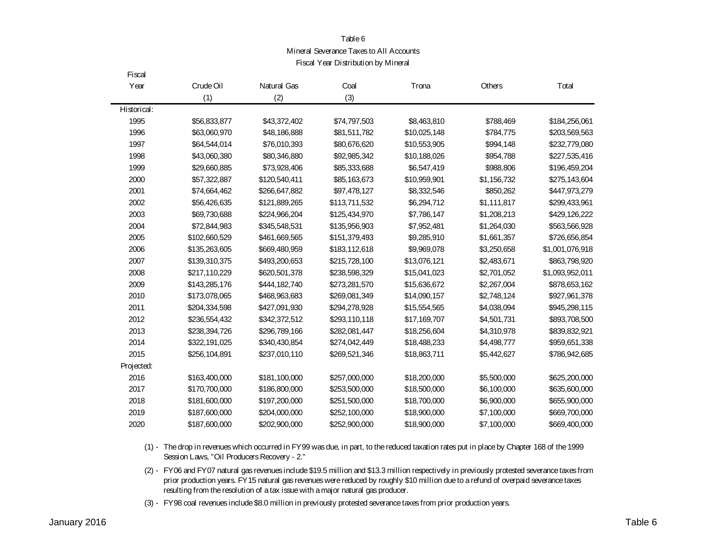#### Table 6 Mineral Severance Taxes to All Accounts Fiscal Year Distribution by Mineral

| Fiscal      |               |               |               |              |             |                 |
|-------------|---------------|---------------|---------------|--------------|-------------|-----------------|
| Year        | Crude Oil     | Natural Gas   | Coal          | Trona        | Others      | Total           |
|             | (1)           | (2)           | (3)           |              |             |                 |
| Historical: |               |               |               |              |             |                 |
| 1995        | \$56,833,877  | \$43,372,402  | \$74,797,503  | \$8,463,810  | \$788,469   | \$184,256,061   |
| 1996        | \$63,060,970  | \$48,186,888  | \$81,511,782  | \$10,025,148 | \$784,775   | \$203,569,563   |
| 1997        | \$64,544,014  | \$76,010,393  | \$80,676,620  | \$10,553,905 | \$994,148   | \$232,779,080   |
| 1998        | \$43,060,380  | \$80,346,880  | \$92,985,342  | \$10,188,026 | \$954,788   | \$227,535,416   |
| 1999        | \$29,660,885  | \$73,928,406  | \$85,333,688  | \$6,547,419  | \$988,806   | \$196,459,204   |
| 2000        | \$57,322,887  | \$120,540,411 | \$85,163,673  | \$10,959,901 | \$1,156,732 | \$275,143,604   |
| 2001        | \$74,664,462  | \$266,647,882 | \$97,478,127  | \$8,332,546  | \$850,262   | \$447,973,279   |
| 2002        | \$56,426,635  | \$121,889,265 | \$113,711,532 | \$6,294,712  | \$1,111,817 | \$299,433,961   |
| 2003        | \$69,730,688  | \$224,966,204 | \$125,434,970 | \$7,786,147  | \$1,208,213 | \$429,126,222   |
| 2004        | \$72,844,983  | \$345,548,531 | \$135,956,903 | \$7,952,481  | \$1,264,030 | \$563,566,928   |
| 2005        | \$102,660,529 | \$461,669,565 | \$151,379,493 | \$9,285,910  | \$1,661,357 | \$726,656,854   |
| 2006        | \$135,263,605 | \$669,480,959 | \$183,112,618 | \$9,969,078  | \$3,250,658 | \$1,001,076,918 |
| 2007        | \$139,310,375 | \$493,200,653 | \$215,728,100 | \$13,076,121 | \$2,483,671 | \$863,798,920   |
| 2008        | \$217,110,229 | \$620,501,378 | \$238,598,329 | \$15,041,023 | \$2,701,052 | \$1,093,952,011 |
| 2009        | \$143,285,176 | \$444,182,740 | \$273,281,570 | \$15,636,672 | \$2,267,004 | \$878,653,162   |
| 2010        | \$173,078,065 | \$468,963,683 | \$269,081,349 | \$14,090,157 | \$2,748,124 | \$927,961,378   |
| 2011        | \$204,334,598 | \$427,091,930 | \$294,278,928 | \$15,554,565 | \$4,038,094 | \$945,298,115   |
| 2012        | \$236,554,432 | \$342,372,512 | \$293,110,118 | \$17,169,707 | \$4,501,731 | \$893,708,500   |
| 2013        | \$238,394,726 | \$296,789,166 | \$282,081,447 | \$18,256,604 | \$4,310,978 | \$839,832,921   |
| 2014        | \$322,191,025 | \$340,430,854 | \$274,042,449 | \$18,488,233 | \$4,498,777 | \$959,651,338   |
| 2015        | \$256,104,891 | \$237,010,110 | \$269,521,346 | \$18,863,711 | \$5,442,627 | \$786,942,685   |
| Projected:  |               |               |               |              |             |                 |
| 2016        | \$163,400,000 | \$181,100,000 | \$257,000,000 | \$18,200,000 | \$5,500,000 | \$625,200,000   |
| 2017        | \$170,700,000 | \$186,800,000 | \$253,500,000 | \$18,500,000 | \$6,100,000 | \$635,600,000   |
| 2018        | \$181,600,000 | \$197,200,000 | \$251,500,000 | \$18,700,000 | \$6,900,000 | \$655,900,000   |
| 2019        | \$187,600,000 | \$204,000,000 | \$252,100,000 | \$18,900,000 | \$7,100,000 | \$669,700,000   |
| 2020        | \$187,600,000 | \$202,900,000 | \$252,900,000 | \$18,900,000 | \$7,100,000 | \$669,400,000   |

(1) - The drop in revenues which occurred in FY99 was due, in part, to the reduced taxation rates put in place by Chapter 168 of the 1999 Session Laws, "Oil Producers Recovery - 2."

(2) - FY06 and FY07 natural gas revenues include \$19.5 million and \$13.3 million respectively in previously protested severance taxes from prior production years. FY15 natural gas revenues were reduced by roughly \$10 million due to a refund of overpaid severance taxes resulting from the resolution of a tax issue with a major natural gas producer.

(3) - FY98 coal revenues include \$8.0 million in previously protested severance taxes from prior production years.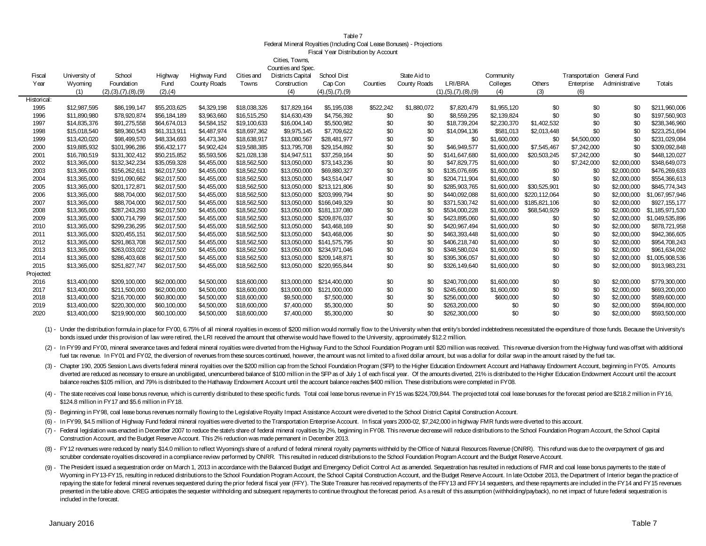#### Table 7 Federal Mineral Royalties (Including Coal Lease Bonuses) - Projections Fiscal Year Distribution by Account Cities, Towns,

|             |               |                         |              |              |              | Counties and Spec. |                    |           |              |                         |             |               |             |                             |                 |
|-------------|---------------|-------------------------|--------------|--------------|--------------|--------------------|--------------------|-----------|--------------|-------------------------|-------------|---------------|-------------|-----------------------------|-----------------|
| Fiscal      | University of | School                  | Highway      | Highway Fund | Cities and   | Districts Capital  | School Dist        |           | State Aid to |                         | Community   |               |             | Transportation General Fund |                 |
| Year        | Wyoming       | Foundation              | Fund         | County Roads | Towns        | Construction       | Cap Con            | Counties  | County Roads | LRI/BRA                 | Colleges    | Others        | Enterprise  | Administrative              | Totals          |
|             | (1)           | (2), (3), (7), (8), (9) | (2), (4)     |              |              | (4)                | (4), (5), (7), (9) |           |              | (1), (5), (7), (8), (9) | (4)         | (3)           | (6)         |                             |                 |
| Historical: |               |                         |              |              |              |                    |                    |           |              |                         |             |               |             |                             |                 |
| 1995        | \$12,987,595  | \$86,199,147            | \$55,203,625 | \$4,329,198  | \$18,038,326 | \$17,829,164       | \$5,195,038        | \$522,242 | \$1,880,072  | \$7,820,479             | \$1,955,120 | \$0           | \$0         | \$0                         | \$211,960,006   |
| 1996        | \$11,890,980  | \$78,920,874            | \$56,184,189 | \$3,963,660  | \$16,515,250 | \$14,630,439       | \$4,756,392        | \$0       | \$0          | \$8,559,295             | \$2,139,824 | \$0           | \$0         | \$0                         | \$197,560,903   |
| 1997        | \$14,835,376  | \$91,275,558            | \$64,674,013 | \$4,584,152  | \$19,100,633 | \$16,004,140       | \$5,500,982        | \$0       | \$0          | \$18,739,204            | \$2,230,370 | \$1,402,532   | \$0         | \$0                         | \$238,346,960   |
| 1998        | \$15,018,540  | \$89,360,543            | \$61,313,911 | \$4,487,974  | \$18,697,362 | \$9,975,145        | \$7,709,622        | \$0       | \$0          | \$14,094,136            | \$581,013   | \$2,013,448   | \$0         | \$0                         | \$223,251,694   |
| 1999        | \$13,420,020  | \$98,499,570            | \$48,334,693 | \$4,473,340  | \$18,638,917 | \$13,080,567       | \$28,481,977       | \$0       | \$0          | \$0                     | \$1,600,000 | \$0           | \$4,500,000 | \$0                         | \$231,029,084   |
| 2000        | \$19,885,932  | \$101,996,286           | \$56,432,177 | \$4,902,424  | \$19,588,385 | \$13,795,708       | \$29,154,892       | \$0       | \$0          | \$46,949,577            | \$1,600,000 | \$7,545,467   | \$7,242,000 | \$0                         | \$309,092,848   |
| 2001        | \$16,780,519  | \$131,302,412           | \$50,215,852 | \$5,593,506  | \$21,028,138 | \$14,947,511       | \$37,259,164       | \$0       | \$0          | \$141,647,680           | \$1,600,000 | \$20,503,245  | \$7,242,000 | \$0                         | \$448,120,027   |
| 2002        | \$13,365,000  | \$132,342,234           | \$35,059,328 | \$4,455,000  | \$18,562,500 | \$13,050,000       | \$73,143,236       | \$0       | \$0          | \$47,829,775            | \$1,600,000 | \$0           | \$7,242,000 | \$2,000,000                 | \$348,649,073   |
| 2003        | \$13,365,000  | \$156,262,611           | \$62,017,500 | \$4,455,000  | \$18,562,500 | \$13,050,000       | \$69,880,327       | \$0       | \$C          | \$135,076,695           | \$1,600,000 | \$0           | \$0         | \$2,000,000                 | \$476,269,633   |
| 2004        | \$13,365,000  | \$191,090,662           | \$62,017,500 | \$4,455,000  | \$18,562,500 | \$13,050,000       | \$43,514,047       | \$0       | \$0          | \$204,711,904           | \$1,600,000 | \$0           | \$0         | \$2,000,000                 | \$554,366,613   |
| 2005        | \$13,365,000  | \$201,172,871           | \$62,017,500 | \$4,455,000  | \$18,562,500 | \$13,050,000       | \$213,121,806      | \$0       | \$C          | \$285,903,765           | \$1,600,000 | \$30,525,901  | \$0         | \$2,000,000                 | \$845,774,343   |
| 2006        | \$13,365,000  | \$88,704,000            | \$62,017,500 | \$4,455,000  | \$18,562,500 | \$13,050,000       | \$203,999,794      | \$0       | \$C          | \$440,092,088           | \$1,600,000 | \$220,112,064 | \$0         | \$2,000,000                 | \$1,067,957,946 |
| 2007        | \$13,365,000  | \$88,704,000            | \$62,017,500 | \$4,455,000  | \$18,562,500 | \$13,050,000       | \$166,049,329      | \$0       | \$0          | \$371,530,742           | \$1,600,000 | \$185,821,106 | \$0         | \$2,000,000                 | \$927,155,177   |
| 2008        | \$13,365,000  | \$287,243,293           | \$62,017,500 | \$4,455,000  | \$18,562,500 | \$13,050,000       | \$181,137,080      | \$0       | \$C          | \$534,000,228           | \$1,600,000 | \$68,540,929  | \$0         | \$2,000,000                 | \$1,185,971,530 |
| 2009        | \$13,365,000  | \$300,714,799           | \$62,017,500 | \$4,455,000  | \$18,562,500 | \$13,050,000       | \$209,876,037      | \$0       | \$0          | \$423,895,060           | \$1,600,000 | \$0           | \$0         | \$2,000,000                 | \$1,049,535,896 |
| 2010        | \$13,365,000  | \$299,236,295           | \$62,017,500 | \$4,455,000  | \$18,562,500 | \$13,050,000       | \$43,468,169       | \$0       | \$0          | \$420,967,494           | \$1,600,000 |               | \$0         | \$2,000,000                 | \$878,721,958   |
| 2011        | \$13,365,000  | \$320,455,151           | \$62,017,500 | \$4,455,000  | \$18,562,500 | \$13,050,000       | \$43,468,006       | \$0       | \$0          | \$463,393,448           | \$1,600,000 | \$0           | \$0         | \$2,000,000                 | \$942,366,605   |
| 2012        | \$13,365,000  | \$291,863,708           | \$62,017,500 | \$4,455,000  | \$18,562,500 | \$13,050,000       | \$141,575,795      | \$0       |              | \$406,218,740           | \$1,600,000 | \$0           | \$0         | \$2,000,000                 | \$954,708,243   |
| 2013        | \$13,365,000  | \$263,033,022           | \$62,017,500 | \$4,455,000  | \$18,562,500 | \$13,050,000       | \$234.971.046      | \$0       | \$C          | \$348,580,024           | \$1,600,000 | \$0           | \$0         | \$2,000,000                 | \$961,634,092   |
| 2014        | \$13,365,000  | \$286,403,608           | \$62,017,500 | \$4,455,000  | \$18,562,500 | \$13,050,000       | \$209,148,871      | \$0       | \$C          | \$395,306,057           | \$1,600,000 | \$0           | \$0         | \$2,000,000                 | \$1,005,908,536 |
| 2015        | \$13,365,000  | \$251,827,747           | \$62,017,500 | \$4,455,000  | \$18,562,500 | \$13,050,000       | \$220,955,844      | \$0       | \$0          | \$326,149,640           | \$1,600,000 | \$0           | \$0         | \$2,000,000                 | \$913,983,231   |
| Projected:  |               |                         |              |              |              |                    |                    |           |              |                         |             |               |             |                             |                 |
| 2016        | \$13,400,000  | \$209,100,000           | \$62,000,000 | \$4,500,000  | \$18,600,000 | \$13,000,000       | \$214,400,000      | \$0       | \$0          | \$240,700,000           | \$1,600,000 | \$0           | \$0         | \$2,000,000                 | \$779,300,000   |
| 2017        | \$13,400,000  | \$211,500,000           | \$62,000,000 | \$4,500,000  | \$18,600,000 | \$13,000,000       | \$121,000,000      | \$0       | \$0          | \$245,600,000           | \$1,600,000 | \$0           | \$0         | \$2,000,000                 | \$693,200,000   |
| 2018        | \$13,400,000  | \$216,700,000           | \$60,800,000 | \$4,500,000  | \$18,600,000 | \$9,500,000        | \$7,500,000        | \$0       | \$0          | \$256,000,000           | \$600,000   | \$0           | \$0         | \$2,000,000                 | \$589,600,000   |
| 2019        | \$13,400,000  | \$220,300,000           | \$60,100,000 | \$4,500,000  | \$18,600,000 | \$7,400,000        | \$5,300,000        | \$0       | \$0          | \$263,200,000           | \$0         | \$0           | \$0         | \$2,000,000                 | \$594,800,000   |
| 2020        | \$13,400,000  | \$219,900,000           | \$60,100,000 | \$4,500,000  | \$18,600,000 | \$7,400,000        | \$5,300,000        | \$0       | \$0          | \$262,300,000           | \$0         | \$0           | \$0         | \$2,000,000                 | \$593,500,000   |
|             |               |                         |              |              |              |                    |                    |           |              |                         |             |               |             |                             |                 |

(1) - Under the distribution formula in place for FY00, 6.75% of all mineral royalties in excess of \$200 million would normally flow to the University when that entity's bonded indebtedness necessitated the expenditure of bonds issued under this provision of law were retired, the LRI received the amount that otherwise would have flowed to the University, approximately \$12.2 million.

(2) - In FY99 and FY00, mineral severance taxes and federal mineral royalties were diverted from the Highway Fund to the School Foundation Program until \$20 million was received. This revenue diversion from the Highway fun fuel tax revenue. In FY01 and FY02, the diversion of revenues from these sources continued, however, the amount was not limited to a fixed dollar amount, but was a dollar for dollar swap in the amount raised by the fuel ta

(3) - Chapter 190, 2005 Session Laws diverts federal mineral royalties over the \$200 million cap from the School Foundation Program (SFP) to the Higher Education Endowment Account and Hathaway Endowment Account, beginning diverted are reduced as necessary to ensure an unobligated, unencumbered balance of \$100 million in the SFP as of July 1 of each fiscal year. Of the amounts diverted, 21% is distributed to the Higher Education Endowment Ac balance reaches \$105 million, and 79% is distributed to the Hathaway Endowment Account until the account balance reaches \$400 million. These distributions were completed in FY08.

(4) - The state receives coal lease bonus revenue, which is currently distributed to these specific funds. Total coal lease bonus revenue in FY15 was \$224,709,844. The projected total coal lease bonuses for the forecast pe \$124.8 million in FY17 and \$5.6 million in FY18.

(5) - Beginning in FY98, coal lease bonus revenues normally flowing to the Legislative Royalty Impact Assistance Account were diverted to the School District Capital Construction Account.

(6) - In FY99, \$4.5 million of Highway Fund federal mineral royalties were diverted to the Transportation Enterprise Account. In fiscal years 2000-02, \$7,242,000 in highway FMR funds were diverted to this account.

(7) - Federal legislation was enacted in December 2007 to reduce the state's share of federal mineral royalties by 2%, beginning in FY08. This revenue decrease will reduce distributions to the School Foundation Program Acc Construction Account, and the Budget Reserve Account. This 2% reduction was made permanent in December 2013.

(8) - FY12 revenues were reduced by nearly \$14.0 million to reflect Wyoming's share of a refund of federal mineral royalty payments withheld by the Office of Natural Resources Revenue (ONRR). This refund was due to the ove scrubber condensate royalties discovered in a compliance review performed by ONRR. This resulted in reduced distributions to the School Foundation Program Account and the Budget Reserve Account.

(9) - The President issued a sequestration order on March 1, 2013 in accordance with the Balanced Budget and Emergency Deficit Control Act as amended. Sequestration has resulted in reductions of FMR and coal lease bonus pa Wyoming in FY13-FY15, resulting in reduced distributions to the School Foundation Program Account, the School Capital Construction Account, and the Budget Reserve Account. In late October 2013, the Department of Interior b repaying the state for federal mineral revenues sequestered during the prior federal fiscal year (FFY). The State Treasurer has received repayments of the FFY13 and FFY14 sequesters, and these repayments are included in th presented in the table above. CREG anticipates the sequester withholding and subsequent repayments to continue throughout the forecast period. As a result of this assumption (withholding/payback), no net impact of future f included in the forecast.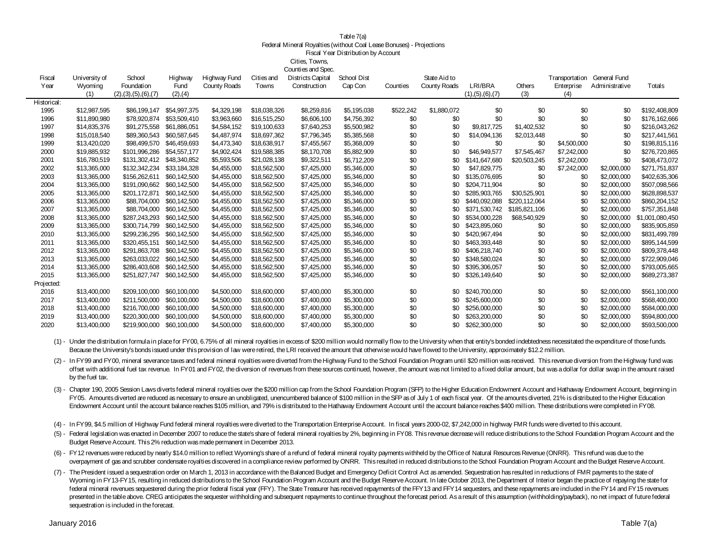#### Table 7(a) Federal Mineral Royalties (without Coal Lease Bonuses) - Projections Fiscal Year Distribution by Account Cities, Towns, Counties and Spec.

|             |               |                         |              |              |              | Countles and Spec |             |           |                     |                    |               |                |                |                 |
|-------------|---------------|-------------------------|--------------|--------------|--------------|-------------------|-------------|-----------|---------------------|--------------------|---------------|----------------|----------------|-----------------|
| Fiscal      | University of | School                  | Highway      | Highway Fund | Cities and   | Districts Capital | School Dist |           | State Aid to        |                    |               | Transportation | General Fund   |                 |
| Year        | Wyoming       | Foundation              | Fund         | County Roads | Towns        | Construction      | Cap Con     | Counties  | <b>County Roads</b> | LRI/BRA            | Others        | Enterprise     | Administrative | Totals          |
|             | (1)           | (2), (3), (5), (6), (7) | (2), (4)     |              |              |                   |             |           |                     | (1), (5), (6), (7) | (3)           | (4)            |                |                 |
| Historical: |               |                         |              |              |              |                   |             |           |                     |                    |               |                |                |                 |
| 1995        | \$12,987,595  | \$86,199,147            | \$54,997,375 | \$4,329,198  | \$18,038,326 | \$8,259,816       | \$5,195,038 | \$522,242 | \$1,880,072         | \$0                | \$0           | \$0            | \$0            | \$192,408,809   |
| 1996        | \$11,890,980  | \$78,920.874            | \$53,509,410 | \$3.963.660  | \$16,515,250 | \$6,606,100       | \$4,756,392 | \$0       | \$0                 | \$0                | \$0           | \$0            | \$0            | \$176,162,666   |
| 1997        | \$14,835,376  | \$91,275,558            | \$61,886,051 | \$4,584,152  | \$19,100,633 | \$7,640,253       | \$5,500,982 | \$0       | \$0                 | \$9,817,725        | \$1,402,532   | \$0            | \$0            | \$216,043,262   |
| 1998        | \$15,018,540  | \$89,360,543            | \$60,587,645 | \$4,487,974  | \$18,697,362 | \$7,796,345       | \$5,385,568 | \$0       | \$0                 | \$14,094,136       | \$2,013,448   | \$0            | \$0            | \$217,441,561   |
| 1999        | \$13,420,020  | \$98,499,570            | \$46,459,693 | \$4,473,340  | \$18,638,917 | \$7,455,567       | \$5,368,009 | \$0       | \$0                 | \$0                | \$0           | \$4,500,000    | \$0            | \$198,815,116   |
| 2000        | \$19,885,932  | \$101,996,286           | \$54,557,177 | \$4,902,424  | \$19,588,385 | \$8,170,708       | \$5,882,909 | \$0       | \$0                 | \$46,949,577       | \$7,545,467   | \$7,242,000    | \$0            | \$276,720,865   |
| 2001        | \$16,780,519  | \$131.302.412           | \$48,340,852 | \$5,593,506  | \$21.028.138 | \$9,322,511       | \$6,712,209 | \$0       | \$0                 | \$141.647.680      | \$20,503,245  | \$7,242,000    | \$0            | \$408,473,072   |
| 2002        | \$13,365,000  | \$132,342,234           | \$33,184,328 | \$4,455,000  | \$18,562,500 | \$7,425,000       | \$5,346,000 | \$0       | \$0                 | \$47,829,775       | \$0           | \$7,242,000    | \$2,000,000    | \$271,751,837   |
| 2003        | \$13,365,000  | \$156,262,611           | \$60,142,500 | \$4,455,000  | \$18,562,500 | \$7,425,000       | \$5,346,000 | \$0       | \$0                 | \$135,076,695      | \$0           | \$0            | \$2,000,000    | \$402,635,306   |
| 2004        | \$13,365,000  | \$191.090.662           | \$60,142,500 | \$4,455,000  | \$18,562,500 | \$7,425,000       | \$5,346,000 | \$0       | \$0                 | \$204.711.904      | \$0           | \$0            | \$2,000,000    | \$507,098,566   |
| 2005        | \$13,365,000  | \$201,172,871           | \$60,142,500 | \$4,455,000  | \$18,562,500 | \$7,425,000       | \$5,346,000 | \$0       | \$0                 | \$285,903,765      | \$30,525,901  | \$0            | \$2,000,000    | \$628,898,537   |
| 2006        | \$13,365,000  | \$88,704,000            | \$60,142,500 | \$4,455,000  | \$18,562,500 | \$7,425,000       | \$5,346,000 | \$0       |                     | \$440.092.088      | \$220.112.064 | \$0            | \$2,000,000    | \$860,204,152   |
| 2007        | \$13,365,000  | \$88,704,000            | \$60,142,500 | \$4,455,000  | \$18,562,500 | \$7,425,000       | \$5,346,000 | \$0       |                     | \$371.530.742      | \$185,821,106 | \$0            | \$2,000,000    | \$757,351,848   |
| 2008        | \$13,365,000  | \$287.243.293           | \$60,142,500 | \$4,455,000  | \$18,562,500 | \$7,425,000       | \$5,346,000 | \$0       | \$0                 | \$534,000.228      | \$68,540,929  | \$0            | \$2,000,000    | \$1,001,080,450 |
| 2009        | \$13,365,000  | \$300.714.799           | \$60,142,500 | \$4,455,000  | \$18,562,500 | \$7,425,000       | \$5,346,000 | \$0       | \$0                 | \$423,895,060      | \$0           | \$0            | \$2,000,000    | \$835,905,859   |
| 2010        | \$13,365,000  | \$299,236,295           | \$60,142,500 | \$4,455,000  | \$18,562,500 | \$7,425,000       | \$5,346,000 | \$0       | \$0                 | \$420,967,494      | \$0           | \$0            | \$2,000,000    | \$831,499,789   |
| 2011        | \$13,365,000  | \$320,455,151           | \$60,142,500 | \$4,455,000  | \$18,562,500 | \$7,425,000       | \$5,346,000 | \$0       | \$0                 | \$463,393,448      | \$0           | \$0            | \$2,000,000    | \$895,144,599   |
| 2012        | \$13,365,000  | \$291.863.708           | \$60,142,500 | \$4,455,000  | \$18,562,500 | \$7,425,000       | \$5,346,000 | \$0       | \$0                 | \$406,218,740      | \$0           | \$0            | \$2,000,000    | \$809,378,448   |
| 2013        | \$13,365,000  | \$263,033,022           | \$60,142,500 | \$4,455,000  | \$18,562,500 | \$7,425,000       | \$5,346,000 | \$0       |                     | \$348,580,024      | \$0           | \$0            | \$2,000,000    | \$722,909,046   |
| 2014        | \$13,365,000  | \$286,403,608           | \$60,142,500 | \$4,455,000  | \$18,562,500 | \$7,425,000       | \$5,346,000 | \$0       | \$0                 | \$395,306,057      | \$0           | \$0            | \$2,000,000    | \$793,005,665   |
| 2015        | \$13,365,000  | \$251,827,747           | \$60,142,500 | \$4,455,000  | \$18,562,500 | \$7,425,000       | \$5,346,000 | \$0       | \$0                 | \$326,149,640      | \$0           | \$0            | \$2,000,000    | \$689,273,387   |
| Projected:  |               |                         |              |              |              |                   |             |           |                     |                    |               |                |                |                 |
| 2016        | \$13,400,000  | \$209,100,000           | \$60,100,000 | \$4,500,000  | \$18,600,000 | \$7,400,000       | \$5,300,000 | \$0       | \$0                 | \$240,700,000      | \$0           | \$0            | \$2,000,000    | \$561,100,000   |
| 2017        | \$13,400,000  | \$211,500,000           | \$60,100,000 | \$4,500,000  | \$18,600,000 | \$7,400,000       | \$5,300,000 | \$0       | \$0                 | \$245,600,000      | \$0           | \$0            | \$2,000,000    | \$568,400,000   |
| 2018        | \$13,400,000  | \$216,700,000           | \$60,100,000 | \$4,500,000  | \$18,600,000 | \$7,400,000       | \$5,300,000 | \$0       | \$0                 | \$256,000,000      | \$0           | \$0            | \$2,000,000    | \$584,000,000   |
| 2019        | \$13,400,000  | \$220,300,000           | \$60,100,000 | \$4,500,000  | \$18,600,000 | \$7,400,000       | \$5,300,000 | \$0       | \$0                 | \$263,200,000      | \$0           | \$0            | \$2,000,000    | \$594,800,000   |
| 2020        | \$13,400,000  | \$219,900,000           | \$60,100,000 | \$4,500,000  | \$18,600,000 | \$7,400,000       | \$5,300,000 | \$0       | \$0                 | \$262,300,000      | \$0           | \$0            | \$2,000,000    | \$593,500,000   |
|             |               |                         |              |              |              |                   |             |           |                     |                    |               |                |                |                 |

(1) - Under the distribution formula in place for FY00, 6.75% of all mineral royalties in excess of \$200 million would normally flow to the University when that entity's bonded indebtedness necessitated the expenditure of Because the University's bonds issued under this provision of law were retired, the LRI received the amount that otherwise would have flowed to the University, approximately \$12.2 million.

(2) - In FY99 and FY00, mineral severance taxes and federal mineral royalties were diverted from the Highway Fund to the School Foundation Program until \$20 million was received. This revenue diversion from the Highway fun offset with additional fuel tax revenue. In FY01 and FY02, the diversion of revenues from these sources continued, however, the amount was not limited to a fixed dollar amount, but was a dollar for dollar swap in the amoun by the fuel tax.

(3) - Chapter 190, 2005 Session Laws diverts federal mineral royalties over the \$200 million cap from the School Foundation Program (SFP) to the Higher Education Endowment Account and Hathaway Endowment Account, beginning FY05. Amounts diverted are reduced as necessary to ensure an unobligated, unencumbered balance of \$100 million in the SFP as of July 1 of each fiscal year. Of the amounts diverted, 21% is distributed to the Higher Educatio Endowment Account until the account balance reaches \$105 million, and 79% is distributed to the Hathaway Endowment Account until the account balance reaches \$400 million. These distributions were completed in FY08.

(4) - In FY99, \$4.5 million of Highway Fund federal mineral royalties were diverted to the Transportation Enterprise Account. In fiscal years 2000-02, \$7,242,000 in highway FMR funds were diverted to this account.

(5) - Federal legislation was enacted in December 2007 to reduce the state's share of federal mineral royalties by 2%, beginning in FY08. This revenue decrease will reduce distributions to the School Foundation Program Acc Budget Reserve Account. This 2% reduction was made permanent in December 2013.

- (6) FY12 revenues were reduced by nearly \$14.0 million to reflect Wyoming's share of a refund of federal mineral royalty payments withheld by the Office of Natural Resources Revenue (ONRR). This refund was due to the overpayment of gas and scrubber condensate royalties discovered in a compliance review performed by ONRR. This resulted in reduced distributions to the School Foundation Program Account and the Budget Reserve Account.
- (7) The President issued a sequestration order on March 1, 2013 in accordance with the Balanced Budget and Emergency Deficit Control Act as amended. Sequestration has resulted in reductions of FMR payments to the state o Wyoming in FY13-FY15, resulting in reduced distributions to the School Foundation Program Account and the Budget Reserve Account. In late October 2013, the Department of Interior began the practice of repaying the state fo federal mineral revenues sequestered during the prior federal fiscal year (FFY). The State Treasurer has received repayments of the FFY13 and FFY14 sequesters, and these repayments are included in the FY14 and FY15 revenue presented in the table above. CREG anticipates the sequester withholding and subsequent repayments to continue throughout the forecast period. As a result of this assumption (withholding/payback), no net impact of future f sequestration is included in the forecast.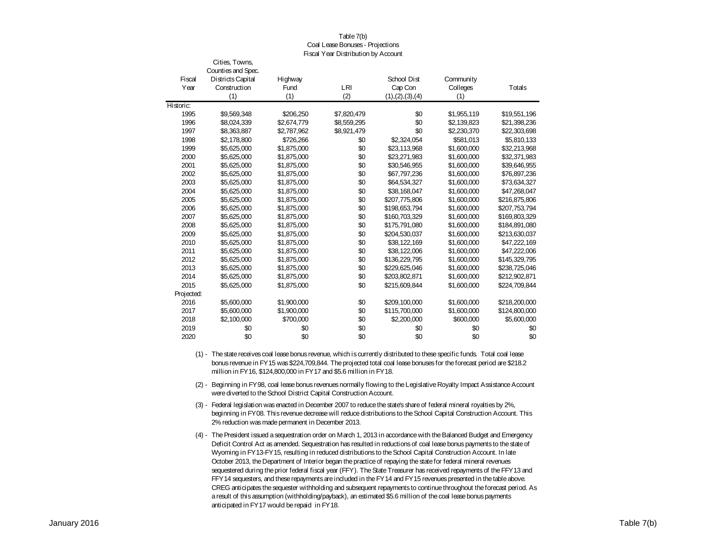#### Table 7(b) Coal Lease Bonuses - Projections Fiscal Year Distribution by Account

Cities, Towns

|            | UILICS, I UWIIS,   |             |             |                    |             |               |
|------------|--------------------|-------------|-------------|--------------------|-------------|---------------|
|            | Counties and Spec. |             |             |                    |             |               |
| Fiscal     | Districts Capital  | Highway     |             | School Dist        | Community   |               |
| Year       | Construction       | Fund        | LRI         | Cap Con            | Colleges    | Totals        |
|            | (1)                | (1)         | (2)         | (1), (2), (3), (4) | (1)         |               |
| Historic:  |                    |             |             |                    |             |               |
| 1995       | \$9,569,348        | \$206,250   | \$7,820,479 | \$0                | \$1,955,119 | \$19,551,196  |
| 1996       | \$8,024,339        | \$2,674,779 | \$8,559,295 | \$0                | \$2,139,823 | \$21,398,236  |
| 1997       | \$8,363,887        | \$2,787,962 | \$8,921,479 | \$0                | \$2,230,370 | \$22,303,698  |
| 1998       | \$2,178,800        | \$726,266   | \$0         | \$2,324,054        | \$581,013   | \$5,810,133   |
| 1999       | \$5,625,000        | \$1,875,000 | \$0         | \$23,113,968       | \$1,600,000 | \$32,213,968  |
| 2000       | \$5,625,000        | \$1,875,000 | \$0         | \$23,271,983       | \$1,600,000 | \$32,371,983  |
| 2001       | \$5,625,000        | \$1,875,000 | \$0         | \$30,546,955       | \$1,600,000 | \$39,646,955  |
| 2002       | \$5,625,000        | \$1,875,000 | \$0         | \$67,797,236       | \$1,600,000 | \$76,897,236  |
| 2003       | \$5,625,000        | \$1,875,000 | \$0         | \$64,534,327       | \$1,600,000 | \$73,634,327  |
| 2004       | \$5,625,000        | \$1,875,000 | \$0         | \$38,168,047       | \$1,600,000 | \$47,268,047  |
| 2005       | \$5,625,000        | \$1,875,000 | \$0         | \$207,775,806      | \$1,600,000 | \$216,875,806 |
| 2006       | \$5,625,000        | \$1,875,000 | \$0         | \$198,653,794      | \$1,600,000 | \$207,753,794 |
| 2007       | \$5,625,000        | \$1,875,000 | \$0         | \$160,703,329      | \$1,600,000 | \$169,803,329 |
| 2008       | \$5,625,000        | \$1,875,000 | \$0         | \$175,791,080      | \$1,600,000 | \$184,891,080 |
| 2009       | \$5,625,000        | \$1,875,000 | \$0         | \$204,530,037      | \$1,600,000 | \$213,630,037 |
| 2010       | \$5,625,000        | \$1,875,000 | \$0         | \$38,122,169       | \$1,600,000 | \$47,222,169  |
| 2011       | \$5,625,000        | \$1,875,000 | \$0         | \$38,122,006       | \$1,600,000 | \$47,222,006  |
| 2012       | \$5,625,000        | \$1,875,000 | \$0         | \$136,229,795      | \$1,600,000 | \$145,329,795 |
| 2013       | \$5,625,000        | \$1,875,000 | \$0         | \$229,625,046      | \$1,600,000 | \$238,725,046 |
| 2014       | \$5,625,000        | \$1,875,000 | \$0         | \$203,802,871      | \$1,600,000 | \$212,902,871 |
| 2015       | \$5,625,000        | \$1,875,000 | \$0         | \$215,609,844      | \$1,600,000 | \$224,709,844 |
| Projected: |                    |             |             |                    |             |               |
| 2016       | \$5,600,000        | \$1,900,000 | \$0         | \$209,100,000      | \$1,600,000 | \$218,200,000 |
| 2017       | \$5,600,000        | \$1,900,000 | \$0         | \$115,700,000      | \$1,600,000 | \$124,800,000 |
| 2018       | \$2,100,000        | \$700,000   | \$0         | \$2,200,000        | \$600,000   | \$5,600,000   |
| 2019       | \$0                | \$0         | \$0         | \$0                | \$0         | \$0           |
| 2020       | \$0                | \$0         | \$0         | \$0                | \$0         | \$0           |

- (1) The state receives coal lease bonus revenue, which is currently distributed to these specific funds. Total coal lease bonus revenue in FY15 was \$224,709,844. The projected total coal lease bonuses for the forecast period are \$218.2 million in FY16, \$124,800,000 in FY17 and \$5.6 million in FY18.
- (2) Beginning in FY98, coal lease bonus revenues normally flowing to the Legislative Royalty Impact Assistance Account were diverted to the School District Capital Construction Account.
- (3) Federal legislation was enacted in December 2007 to reduce the state's share of federal mineral royalties by 2%, beginning in FY08. This revenue decrease will reduce distributions to the School Capital Construction Account. This 2% reduction was made permanent in December 2013.
- (4) The President issued a sequestration order on March 1, 2013 in accordance with the Balanced Budget and Emergency Deficit Control Act as amended. Sequestration has resulted in reductions of coal lease bonus payments to the state of Wyoming in FY13-FY15, resulting in reduced distributions to the School Capital Construction Account. In late October 2013, the Department of Interior began the practice of repaying the state for federal mineral revenues sequestered during the prior federal fiscal year (FFY). The State Treasurer has received repayments of the FFY13 and FFY14 sequesters, and these repayments are included in the FY14 and FY15 revenues presented in the table above. CREG anticipates the sequester withholding and subsequent repayments to continue throughout the forecast period. As a result of this assumption (withholding/payback), an estimated \$5.6 million of the coal lease bonus payments anticipated in FY17 would be repaid in FY18.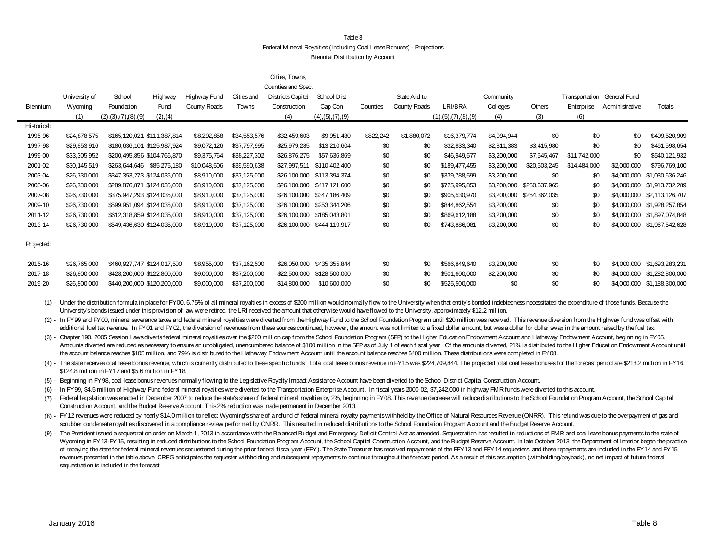#### Table 8 Federal Mineral Royalties (Including Coal Lease Bonuses) - Projections Biennial Distribution by Account

|             | Cities, Towns, |                             |          |              |              |                    |                    |           |              |                         |             |               |              |                             |                 |
|-------------|----------------|-----------------------------|----------|--------------|--------------|--------------------|--------------------|-----------|--------------|-------------------------|-------------|---------------|--------------|-----------------------------|-----------------|
|             |                |                             |          |              |              | Counties and Spec. |                    |           |              |                         |             |               |              |                             |                 |
|             | University of  | School                      | Highway  | Highway Fund | Cities and   | Districts Capital  | School Dist        |           | State Aid to |                         | Community   |               |              | Transportation General Fund |                 |
| Biennium    | Wyoming        | Foundation                  | Fund     | County Roads | Towns        | Construction       | Cap Con            | Counties  | County Roads | LRI/BRA                 | Colleges    | Others        | Enterprise   | Administrative              | Totals          |
|             | (1)            | (2), (3), (7), (8), (9)     | (2), (4) |              |              | (4)                | (4), (5), (7), (9) |           |              | (1), (5), (7), (8), (9) | (4)         | (3)           | (6)          |                             |                 |
| Historical: |                |                             |          |              |              |                    |                    |           |              |                         |             |               |              |                             |                 |
| 1995-96     | \$24,878,575   | \$165,120,021 \$111,387,814 |          | \$8,292,858  | \$34,553,576 | \$32,459,603       | \$9,951,430        | \$522,242 | \$1,880,072  | \$16,379,774            | \$4,094,944 | \$0           | \$0          | \$0                         | \$409,520,909   |
| 1997-98     | \$29,853,916   | \$180,636,101 \$125,987,924 |          | \$9,072,126  | \$37,797,995 | \$25,979,285       | \$13,210,604       | \$0       | \$0          | \$32,833,340            | \$2,811,383 | \$3,415,980   | \$0          | \$0                         | \$461,598,654   |
| 1999-00     | \$33,305,952   | \$200,495,856 \$104,766,870 |          | \$9,375,764  | \$38,227,302 | \$26,876,275       | \$57,636,869       | \$0       | \$0          | \$46,949,577            | \$3,200,000 | \$7,545,467   | \$11,742,000 | \$0                         | \$540,121,932   |
| 2001-02     | \$30,145,519   | \$263,644,646 \$85,275,180  |          | \$10,048,506 | \$39,590,638 | \$27,997,511       | \$110.402.400      | \$0       | \$0          | \$189,477,455           | \$3,200,000 | \$20,503,245  | \$14,484,000 | \$2,000,000                 | \$796,769,100   |
| 2003-04     | \$26,730,000   | \$347.353.273 \$124.035.000 |          | \$8,910,000  | \$37,125,000 | \$26,100,000       | \$113,394,374      | \$0       | \$0          | \$339,788,599           | \$3,200,000 | \$0           | \$0          | \$4,000,000                 | \$1,030,636,246 |
| 2005-06     | \$26,730,000   | \$289,876,871 \$124,035,000 |          | \$8,910,000  | \$37,125,000 | \$26,100,000       | \$417.121.600      | \$0       | \$0          | \$725,995,853           | \$3,200,000 | \$250,637,965 | \$0          | \$4,000,000                 | \$1,913,732,289 |
| 2007-08     | \$26,730,000   | \$375,947,293 \$124,035,000 |          | \$8,910,000  | \$37,125,000 | \$26,100,000       | \$347.186.409      | \$0       | \$0          | \$905,530,970           | \$3,200,000 | \$254,362,035 | \$0          | \$4,000,000                 | \$2,113,126,707 |
| 2009-10     | \$26,730,000   | \$599,951,094 \$124,035,000 |          | \$8,910,000  | \$37,125,000 | \$26,100,000       | \$253,344,206      | \$0       | \$0          | \$844,862,554           | \$3,200,000 | \$0           | \$0          | \$4,000,000                 | \$1,928,257,854 |
| 2011-12     | \$26,730,000   | \$612,318,859 \$124,035,000 |          | \$8,910,000  | \$37,125,000 | \$26,100,000       | \$185,043,801      | \$0       | \$0          | \$869,612,188           | \$3,200,000 | \$0           | \$0          | \$4,000,000                 | \$1,897,074,848 |
| 2013-14     | \$26,730,000   | \$549,436,630 \$124,035,000 |          | \$8,910,000  | \$37,125,000 | \$26,100,000       | \$444,119,917      | \$0       | \$0          | \$743,886,081           | \$3,200,000 | \$0           | \$0          | \$4,000,000                 | \$1,967,542,628 |
| Projected:  |                |                             |          |              |              |                    |                    |           |              |                         |             |               |              |                             |                 |
| 2015-16     | \$26,765,000   | \$460,927,747 \$124,017,500 |          | \$8,955,000  | \$37,162,500 | \$26,050,000       | \$435,355,844      | \$0       | \$0          | \$566,849,640           | \$3,200,000 | \$0           | \$0          | \$4,000,000                 | \$1,693,283,231 |
| 2017-18     | \$26,800,000   | \$428,200,000 \$122,800,000 |          | \$9,000,000  | \$37,200,000 | \$22,500,000       | \$128,500,000      | \$0       | \$0          | \$501,600,000           | \$2,200,000 | \$0           | \$0          | \$4,000,000                 | \$1,282,800,000 |
| 2019-20     | \$26,800,000   | \$440,200,000 \$120,200,000 |          | \$9,000,000  | \$37,200,000 | \$14,800,000       | \$10,600,000       | \$0       | \$0          | \$525,500,000           | \$0         | \$0           | \$0          | \$4,000,000                 | \$1,188,300,000 |

(1) - Under the distribution formula in place for FY00, 6.75% of all mineral royalties in excess of \$200 million would normally flow to the University when that entity's bonded indebtedness necessitated the expenditure of University's bonds issued under this provision of law were retired, the LRI received the amount that otherwise would have flowed to the University, approximately \$12.2 million.

(2) - In FY99 and FY00, mineral severance taxes and federal mineral royalties were diverted from the Highway Fund to the School Foundation Program until \$20 million was received. This revenue diversion from the Highway fun additional fuel tax revenue. In FY01 and FY02, the diversion of revenues from these sources continued, however, the amount was not limited to a fixed dollar amount, but was a dollar for dollar swap in the amount raised by

(3) - Chapter 190, 2005 Session Laws diverts federal mineral royalties over the \$200 million cap from the School Foundation Program (SFP) to the Higher Education Endowment Account and Hathaway Endowment Account, beginning Amounts diverted are reduced as necessary to ensure an unobligated, unencumbered balance of \$100 million in the SFP as of July 1 of each fiscal year. Of the amounts diverted, 21% is distributed to the Higher Education Endo the account balance reaches \$105 million, and 79% is distributed to the Hathaway Endowment Account until the account balance reaches \$400 million. These distributions were completed in FY08.

(4) - The state receives coal lease bonus revenue, which is currently distributed to these specific funds. Total coal lease bonus revenue in FY15 was \$224,709,844. The projected total coal lease bonuses for the forecast pe \$124.8 million in FY17 and \$5.6 million in FY18.

(5) - Beginning in FY98, coal lease bonus revenues normally flowing to the Legislative Royalty Impact Assistance Account have been diverted to the School District Capital Construction Account.

(6) - In FY99, \$4.5 million of Highway Fund federal mineral royalties were diverted to the Transportation Enterprise Account. In fiscal years 2000-02, \$7,242,000 in highway FMR funds were diverted to this account.

(7) - Federal legislation was enacted in December 2007 to reduce the state's share of federal mineral royalties by 2%, beginning in FY08. This revenue decrease will reduce distributions to the School Foundation Program Acc Construction Account, and the Budget Reserve Account. This 2% reduction was made permanent in December 2013.

(8) - FY12 revenues were reduced by nearly \$14.0 million to reflect Wyoming's share of a refund of federal mineral royalty payments withheld by the Office of Natural Resources Revenue (ONRR). This refund was due to the ove scrubber condensate royalties discovered in a compliance review performed by ONRR. This resulted in reduced distributions to the School Foundation Program Account and the Budget Reserve Account.

(9) - The President issued a sequestration order on March 1, 2013 in accordance with the Balanced Budget and Emergency Deficit Control Act as amended. Sequestration has resulted in reductions of FMR and coal lease bonus pa Wyoming in FY 13-FY 15, resulting in reduced distributions to the School Foundation Program Account, the School Capital Construction Account, and the Budget Reserve Account. In late October 2013, the Department of Interior of repaying the state for federal mineral revenues sequestered during the prior federal fiscal year (FFY). The State Treasurer has received repayments of the FFY 13 and FFY 14 sequesters, and these repayments are included revenues presented in the table above. CREG anticipates the sequester withholding and subsequent repayments to continue throughout the forecast period. As a result of this assumption (withholding/payback), no net impact of sequestration is included in the forecast.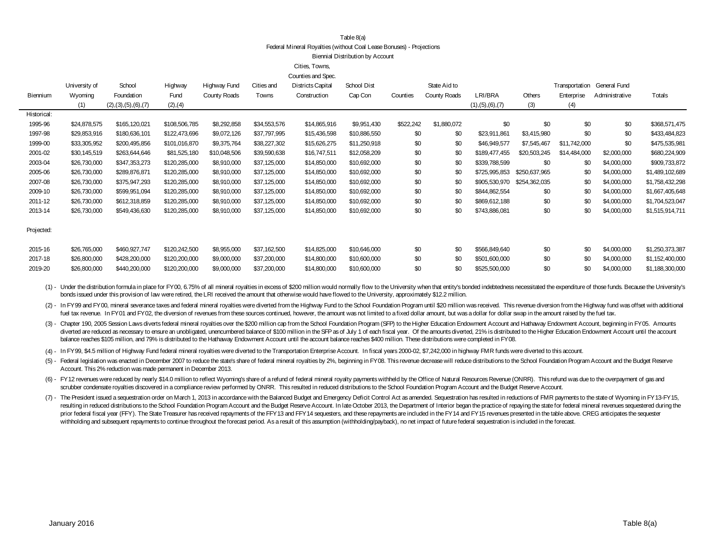#### Table 8(a)

Federal Mineral Royalties (without Coal Lease Bonuses) - Projections

Biennial Distribution by Account

Cities, Towns,

|             |               |                         |               |              |              | Counties and Spec. |              |           |              |                    |               |                             |                |                 |
|-------------|---------------|-------------------------|---------------|--------------|--------------|--------------------|--------------|-----------|--------------|--------------------|---------------|-----------------------------|----------------|-----------------|
|             | University of | School                  | Highway       | Highway Fund | Cities and   | Districts Capital  | School Dist  |           | State Aid to |                    |               | Transportation General Fund |                |                 |
| Biennium    | Wyoming       | Foundation              | Fund          | County Roads | Towns        | Construction       | Cap Con      | Counties  | County Roads | LRI/BRA            | Others        | Enterprise                  | Administrative | Totals          |
|             | (1)           | (2), (3), (5), (6), (7) | (2), (4)      |              |              |                    |              |           |              | (1), (5), (6), (7) | (3)           | (4)                         |                |                 |
| Historical: |               |                         |               |              |              |                    |              |           |              |                    |               |                             |                |                 |
| 1995-96     | \$24,878,575  | \$165,120,021           | \$108,506,785 | \$8,292,858  | \$34,553,576 | \$14,865,916       | \$9,951,430  | \$522,242 | \$1,880,072  | \$0                | \$0           | \$0                         | \$0            | \$368,571,475   |
| 1997-98     | \$29,853,916  | \$180,636,101           | \$122,473,696 | \$9,072,126  | \$37,797,995 | \$15,436,598       | \$10,886,550 | \$0       | \$0          | \$23,911,861       | \$3,415,980   | \$0                         | \$0            | \$433,484,823   |
| 1999-00     | \$33,305,952  | \$200,495,856           | \$101,016,870 | \$9,375,764  | \$38,227,302 | \$15,626,275       | \$11,250,918 | \$0       | \$0          | \$46,949,577       | \$7,545,467   | \$11,742,000                | \$0            | \$475,535,981   |
| 2001-02     | \$30,145,519  | \$263,644,646           | \$81,525,180  | \$10,048,506 | \$39,590,638 | \$16,747,511       | \$12,058,209 | \$0       | \$0          | \$189,477,455      | \$20,503,245  | \$14,484,000                | \$2,000,000    | \$680,224,909   |
| 2003-04     | \$26,730,000  | \$347,353,273           | \$120,285,000 | \$8,910,000  | \$37,125,000 | \$14,850,000       | \$10,692,000 | \$0       | \$0          | \$339,788,599      | \$0           | \$0                         | \$4,000,000    | \$909,733,872   |
| 2005-06     | \$26,730,000  | \$289,876,871           | \$120,285,000 | \$8,910,000  | \$37,125,000 | \$14,850,000       | \$10,692,000 | \$0       | \$0          | \$725,995,853      | \$250,637,965 | \$0                         | \$4,000,000    | \$1,489,102,689 |
| 2007-08     | \$26,730,000  | \$375,947,293           | \$120,285,000 | \$8,910,000  | \$37,125,000 | \$14,850,000       | \$10,692,000 | \$0       | \$0          | \$905,530,970      | \$254,362,035 | \$0                         | \$4,000,000    | \$1,758,432,298 |
| 2009-10     | \$26,730,000  | \$599,951,094           | \$120,285,000 | \$8,910,000  | \$37,125,000 | \$14,850,000       | \$10,692,000 | \$0       | \$0          | \$844,862,554      | \$0           | \$0                         | \$4,000,000    | \$1,667,405,648 |
| 2011-12     | \$26,730,000  | \$612,318,859           | \$120,285,000 | \$8,910,000  | \$37,125,000 | \$14,850,000       | \$10,692,000 | \$0       | \$0          | \$869,612,188      | \$0           | \$0                         | \$4,000,000    | \$1,704,523,047 |
| 2013-14     | \$26,730,000  | \$549,436,630           | \$120,285,000 | \$8,910,000  | \$37,125,000 | \$14,850,000       | \$10,692,000 | \$0       | \$0          | \$743,886,081      | \$0           | \$0                         | \$4,000,000    | \$1,515,914,711 |
| Projected:  |               |                         |               |              |              |                    |              |           |              |                    |               |                             |                |                 |
| 2015-16     | \$26,765,000  | \$460,927,747           | \$120,242,500 | \$8,955,000  | \$37,162,500 | \$14,825,000       | \$10,646,000 | \$0       | \$0          | \$566,849,640      | \$0           | \$0                         | \$4,000,000    | \$1,250,373,387 |
| 2017-18     | \$26,800,000  | \$428,200,000           | \$120,200,000 | \$9,000,000  | \$37,200,000 | \$14,800,000       | \$10,600,000 | \$0       | \$0          | \$501,600,000      | \$0           | \$0                         | \$4,000,000    | \$1,152,400,000 |
| 2019-20     | \$26,800,000  | \$440,200,000           | \$120,200,000 | \$9,000,000  | \$37,200,000 | \$14,800,000       | \$10,600,000 | \$0       | \$0          | \$525,500,000      | \$0           | \$0                         | \$4,000,000    | \$1,188,300,000 |

(1) - Under the distribution formula in place for FY00, 6.75% of all mineral royalties in excess of \$200 million would normally flow to the University when that entity's bonded indebtedness necessitated the expenditure of bonds issued under this provision of law were retired, the LRI received the amount that otherwise would have flowed to the University, approximately \$12.2 million.

(2) - In FY99 and FY00, mineral severance taxes and federal mineral royalties were diverted from the Highway Fund to the School Foundation Program until \$20 million was received. This revenue diversion from the Highway fun fuel tax revenue. In FY01 and FY02, the diversion of revenues from these sources continued, however, the amount was not limited to a fixed dollar amount, but was a dollar for dollar swap in the amount raised by the fuel ta

(3) - Chapter 190, 2005 Session Laws diverts federal mineral royalties over the \$200 million cap from the School Foundation Program (SFP) to the Higher Education Endowment Account and Hathaway Endowment Account, beginning diverted are reduced as necessary to ensure an unobligated, unencumbered balance of \$100 million in the SFP as of July 1 of each fiscal year. Of the amounts diverted, 21% is distributed to the Higher Education Endowment Ac balance reaches \$105 million, and 79% is distributed to the Hathaway Endowment Account until the account balance reaches \$400 million. These distributions were completed in FY08.

(4) - In FY99, \$4.5 million of Highway Fund federal mineral royalties were diverted to the Transportation Enterprise Account. In fiscal years 2000-02, \$7,242,000 in highway FMR funds were diverted to this account.

(5) - Federal legislation was enacted in December 2007 to reduce the state's share of federal mineral royalties by 2%, beginning in FY08. This revenue decrease will reduce distributions to the School Foundation Program Acc Account. This 2% reduction was made permanent in December 2013.

(6) - FY12 revenues were reduced by nearly \$14.0 million to reflect Wyoming's share of a refund of federal mineral royalty payments withheld by the Office of Natural Resources Revenue (ONRR). This refund was due to the ove scrubber condensate royalties discovered in a compliance review performed by ONRR. This resulted in reduced distributions to the School Foundation Program Account and the Budget Reserve Account.

(7) - The President issued a sequestration order on March 1, 2013 in accordance with the Balanced Budget and Emergency Deficit Control Act as amended. Sequestration has resulted in reductions of FMR payments to the state o resulting in reduced distributions to the School Foundation Program Account and the Budget Reserve Account. In late October 2013, the Department of Interior began the practice of repaying the state for federal mineral reve prior federal fiscal year (FFY). The State Treasurer has received repayments of the FFY13 and FFY14 sequesters, and these repayments are included in the FY14 and FY15 revenues presented in the table above. CREG anticipates withholding and subsequent repayments to continue throughout the forecast period. As a result of this assumption (withholding/payback), no net impact of future federal sequestration is included in the forecast.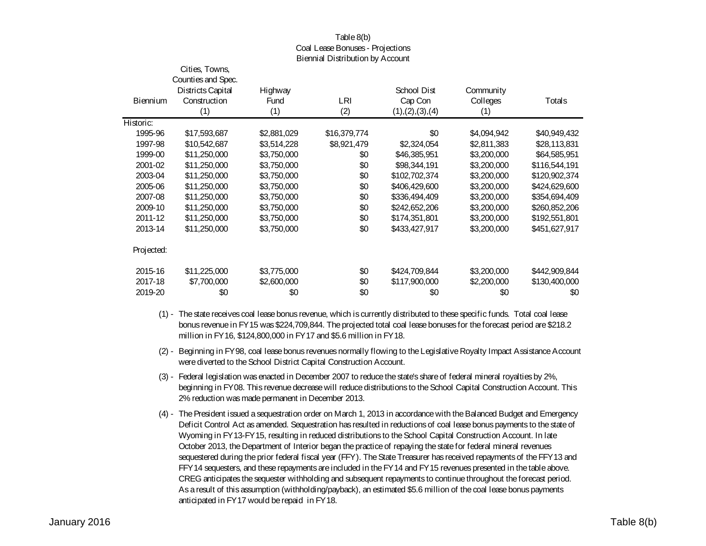|                 | GILLES, TOWIS,     |             |              |                    |             |               |
|-----------------|--------------------|-------------|--------------|--------------------|-------------|---------------|
|                 | Counties and Spec. |             |              |                    |             |               |
|                 | Districts Capital  | Highway     |              | School Dist        | Community   |               |
| <b>Biennium</b> | Construction       | Fund        | LRI          | Cap Con            | Colleges    | Totals        |
|                 | (1)                | (1)         | (2)          | (1), (2), (3), (4) | (1)         |               |
| Historic:       |                    |             |              |                    |             |               |
| 1995-96         | \$17,593,687       | \$2,881,029 | \$16,379,774 | \$0                | \$4,094,942 | \$40,949,432  |
| 1997-98         | \$10,542,687       | \$3,514,228 | \$8,921,479  | \$2,324,054        | \$2,811,383 | \$28,113,831  |
| 1999-00         | \$11,250,000       | \$3,750,000 | \$0          | \$46,385,951       | \$3,200,000 | \$64,585,951  |
| 2001-02         | \$11,250,000       | \$3,750,000 | \$0          | \$98,344,191       | \$3,200,000 | \$116,544,191 |
| 2003-04         | \$11,250,000       | \$3,750,000 | \$0          | \$102,702,374      | \$3,200,000 | \$120,902,374 |
| 2005-06         | \$11,250,000       | \$3,750,000 | \$0          | \$406,429,600      | \$3,200,000 | \$424,629,600 |
| 2007-08         | \$11,250,000       | \$3,750,000 | \$0          | \$336,494,409      | \$3,200,000 | \$354,694,409 |
| 2009-10         | \$11,250,000       | \$3,750,000 | \$0          | \$242,652,206      | \$3,200,000 | \$260,852,206 |
| 2011-12         | \$11,250,000       | \$3,750,000 | \$0          | \$174,351,801      | \$3,200,000 | \$192,551,801 |
| 2013-14         | \$11,250,000       | \$3,750,000 | \$0          | \$433,427,917      | \$3,200,000 | \$451,627,917 |
| Projected:      |                    |             |              |                    |             |               |
| 2015-16         | \$11,225,000       | \$3,775,000 | \$0          | \$424,709,844      | \$3,200,000 | \$442,909,844 |
| 2017-18         | \$7,700,000        | \$2,600,000 | \$0          | \$117,900,000      | \$2,200,000 | \$130,400,000 |
| 2019-20         | \$0                | \$0         | \$0          | \$0                | \$0         | \$0           |
|                 |                    |             |              |                    |             |               |

#### Table 8(b) Coal Lease Bonuses - Projections Biennial Distribution by Account

Cities, Towns,

- (1) The state receives coal lease bonus revenue, which is currently distributed to these specific funds. Total coal lease bonus revenue in FY15 was \$224,709,844. The projected total coal lease bonuses for the forecast period are \$218.2 million in FY16, \$124,800,000 in FY17 and \$5.6 million in FY18.
- (2) Beginning in FY98, coal lease bonus revenues normally flowing to the Legislative Royalty Impact Assistance Account were diverted to the School District Capital Construction Account.
- (3) Federal legislation was enacted in December 2007 to reduce the state's share of federal mineral royalties by 2%, beginning in FY08. This revenue decrease will reduce distributions to the School Capital Construction Account. This 2% reduction was made permanent in December 2013.
- (4) The President issued a sequestration order on March 1, 2013 in accordance with the Balanced Budget and Emergency Deficit Control Act as amended. Sequestration has resulted in reductions of coal lease bonus payments to the state of Wyoming in FY13-FY15, resulting in reduced distributions to the School Capital Construction Account. In late October 2013, the Department of Interior began the practice of repaying the state for federal mineral revenues sequestered during the prior federal fiscal year (FFY). The State Treasurer has received repayments of the FFY13 and FFY14 sequesters, and these repayments are included in the FY14 and FY15 revenues presented in the table above. CREG anticipates the sequester withholding and subsequent repayments to continue throughout the forecast period. As a result of this assumption (withholding/payback), an estimated \$5.6 million of the coal lease bonus payments anticipated in FY17 would be repaid in FY18.